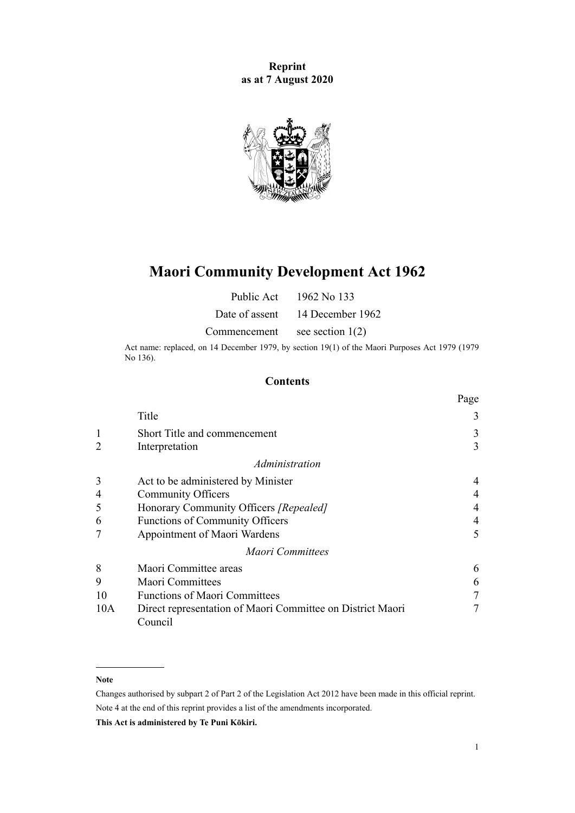**Reprint as at 7 August 2020**



# **Maori Community Development Act 1962**

| Public Act     | 1962 No 133        |
|----------------|--------------------|
| Date of assent | 14 December 1962   |
| Commencement   | see section $1(2)$ |

Act name: replaced, on 14 December 1979, by [section 19\(1\)](http://legislation.govt.nz/pdflink.aspx?id=DLM35626) of the Maori Purposes Act 1979 (1979 No 136).

### **Contents**

|                |                                                                       | Page |
|----------------|-----------------------------------------------------------------------|------|
|                | Title                                                                 | 3    |
|                | Short Title and commencement                                          | 3    |
| $\overline{2}$ | Interpretation                                                        | 3    |
|                | Administration                                                        |      |
| 3              | Act to be administered by Minister                                    | 4    |
| $\overline{4}$ | <b>Community Officers</b>                                             | 4    |
| 5              | Honorary Community Officers [Repealed]                                |      |
| 6              | <b>Functions of Community Officers</b>                                | 4    |
|                | Appointment of Maori Wardens                                          | 5    |
|                | <b>Maori Committees</b>                                               |      |
| 8              | Maori Committee areas                                                 | 6    |
| 9              | <b>Maori Committees</b>                                               | 6    |
| 10             | <b>Functions of Maori Committees</b>                                  |      |
| 10A            | Direct representation of Maori Committee on District Maori<br>Council |      |

#### **Note**

Changes authorised by [subpart 2](http://legislation.govt.nz/pdflink.aspx?id=DLM2998524) of Part 2 of the Legislation Act 2012 have been made in this official reprint. Note 4 at the end of this reprint provides a list of the amendments incorporated.

**This Act is administered by Te Puni Kōkiri.**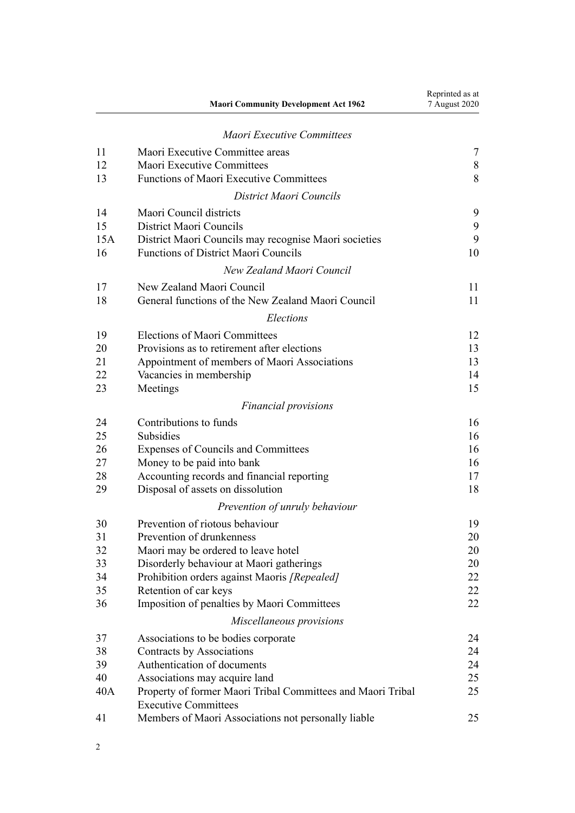|     | <b>Maori Community Development Act 1962</b>                                                | Reprinted as at<br>7 August 2020 |
|-----|--------------------------------------------------------------------------------------------|----------------------------------|
|     | <b>Maori Executive Committees</b>                                                          |                                  |
| 11  | Maori Executive Committee areas                                                            | 7                                |
| 12  | Maori Executive Committees                                                                 | $8\,$                            |
| 13  | <b>Functions of Maori Executive Committees</b>                                             | 8                                |
|     | District Maori Councils                                                                    |                                  |
| 14  | Maori Council districts                                                                    | 9                                |
| 15  | District Maori Councils                                                                    | 9                                |
| 15A | District Maori Councils may recognise Maori societies                                      | 9                                |
| 16  | <b>Functions of District Maori Councils</b>                                                | 10                               |
|     | New Zealand Maori Council                                                                  |                                  |
| 17  | New Zealand Maori Council                                                                  | 11                               |
| 18  | General functions of the New Zealand Maori Council                                         | 11                               |
|     | Elections                                                                                  |                                  |
| 19  | <b>Elections of Maori Committees</b>                                                       | 12                               |
| 20  | Provisions as to retirement after elections                                                | 13                               |
| 21  | Appointment of members of Maori Associations                                               | 13                               |
| 22  | Vacancies in membership                                                                    | 14                               |
| 23  | Meetings                                                                                   | 15                               |
|     | <b>Financial provisions</b>                                                                |                                  |
| 24  | Contributions to funds                                                                     | 16                               |
| 25  | Subsidies                                                                                  | 16                               |
| 26  | Expenses of Councils and Committees                                                        | 16                               |
| 27  | Money to be paid into bank                                                                 | 16                               |
| 28  | Accounting records and financial reporting                                                 | 17                               |
| 29  | Disposal of assets on dissolution                                                          | 18                               |
|     | Prevention of unruly behaviour                                                             |                                  |
| 30  | Prevention of riotous behaviour                                                            | 19                               |
| 31  | Prevention of drunkenness                                                                  | 20                               |
| 32  | Maori may be ordered to leave hotel                                                        | 20                               |
| 33  | Disorderly behaviour at Maori gatherings                                                   | 20                               |
| 34  | Prohibition orders against Maoris [Repealed]                                               | 22                               |
| 35  | Retention of car keys                                                                      | 22                               |
| 36  | Imposition of penalties by Maori Committees                                                | 22                               |
|     | Miscellaneous provisions                                                                   |                                  |
| 37  | Associations to be bodies corporate                                                        | 24                               |
| 38  | Contracts by Associations                                                                  | 24                               |
| 39  | Authentication of documents                                                                | 24                               |
| 40  | Associations may acquire land                                                              | 25                               |
| 40A | Property of former Maori Tribal Committees and Maori Tribal<br><b>Executive Committees</b> | 25                               |
| 41  | Members of Maori Associations not personally liable                                        | 25                               |
|     |                                                                                            |                                  |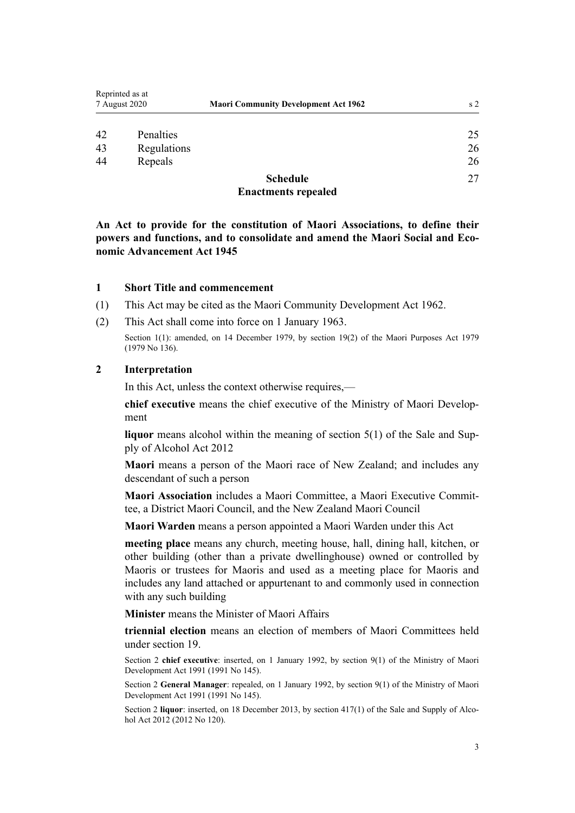<span id="page-2-0"></span>

| Reprinted as at<br>7 August 2020 |             | <b>Maori Community Development Act 1962</b> | s <sub>2</sub> |
|----------------------------------|-------------|---------------------------------------------|----------------|
| 42                               | Penalties   |                                             | 25             |
| 43                               | Regulations |                                             | 26             |
| 44                               | Repeals     |                                             | 26             |
|                                  |             | <b>Schedule</b>                             | 27             |
|                                  |             | <b>Enactments repealed</b>                  |                |

**An Act to provide for the constitution of Maori Associations, to define their powers and functions, and to consolidate and amend the Maori Social and Economic Advancement Act 1945**

#### **1 Short Title and commencement**

- (1) This Act may be cited as the Maori Community Development Act 1962.
- (2) This Act shall come into force on 1 January 1963.

Section 1(1): amended, on 14 December 1979, by [section 19\(2\)](http://legislation.govt.nz/pdflink.aspx?id=DLM35626) of the Maori Purposes Act 1979 (1979 No 136).

#### **2 Interpretation**

In this Act, unless the context otherwise requires,—

**chief executive** means the chief executive of the Ministry of Maori Development

**liquor** means alcohol within the meaning of [section 5\(1\)](http://legislation.govt.nz/pdflink.aspx?id=DLM3339341) of the Sale and Supply of Alcohol Act 2012

**Maori** means a person of the Maori race of New Zealand; and includes any descendant of such a person

**Maori Association** includes a Maori Committee, a Maori Executive Committee, a District Maori Council, and the New Zealand Maori Council

**Maori Warden** means a person appointed a Maori Warden under this Act

**meeting place** means any church, meeting house, hall, dining hall, kitchen, or other building (other than a private dwellinghouse) owned or controlled by Maoris or trustees for Maoris and used as a meeting place for Maoris and includes any land attached or appurtenant to and commonly used in connection with any such building

**Minister** means the Minister of Maori Affairs

**triennial election** means an election of members of Maori Committees held under [section 19](#page-11-0).

Section 2 **chief executive**: inserted, on 1 January 1992, by [section 9\(1\)](http://legislation.govt.nz/pdflink.aspx?id=DLM257786) of the Ministry of Maori Development Act 1991 (1991 No 145).

Section 2 **General Manager**: repealed, on 1 January 1992, by [section 9\(1\)](http://legislation.govt.nz/pdflink.aspx?id=DLM257786) of the Ministry of Maori Development Act 1991 (1991 No 145).

Section 2 **liquor**: inserted, on 18 December 2013, by [section 417\(1\)](http://legislation.govt.nz/pdflink.aspx?id=DLM3339984) of the Sale and Supply of Alcohol Act 2012 (2012 No 120).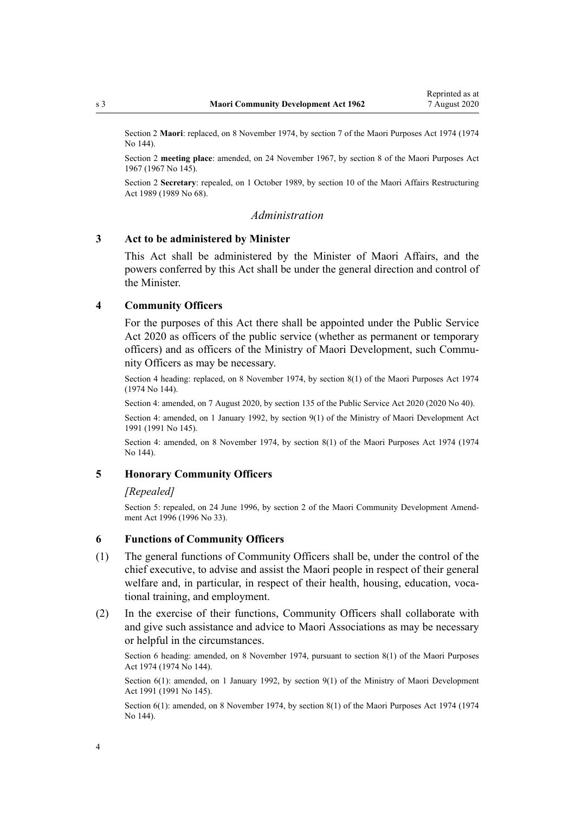<span id="page-3-0"></span>Section 2 **Maori**: replaced, on 8 November 1974, by [section 7](http://legislation.govt.nz/pdflink.aspx?id=DLM430435) of the Maori Purposes Act 1974 (1974 No 144).

Section 2 **meeting place**: amended, on 24 November 1967, by [section 8](http://legislation.govt.nz/pdflink.aspx?id=DLM385505) of the Maori Purposes Act 1967 (1967 No 145).

Section 2 **Secretary**: repealed, on 1 October 1989, by [section 10](http://legislation.govt.nz/pdflink.aspx?id=DLM170435) of the Maori Affairs Restructuring Act 1989 (1989 No 68).

#### *Administration*

### **3 Act to be administered by Minister**

This Act shall be administered by the Minister of Maori Affairs, and the powers conferred by this Act shall be under the general direction and control of the Minister.

#### **4 Community Officers**

For the purposes of this Act there shall be appointed under the [Public Service](http://legislation.govt.nz/pdflink.aspx?id=LMS106157) [Act 2020](http://legislation.govt.nz/pdflink.aspx?id=LMS106157) as officers of the public service (whether as permanent or temporary officers) and as officers of the Ministry of Maori Development, such Community Officers as may be necessary.

Section 4 heading: replaced, on 8 November 1974, by [section 8\(1\)](http://legislation.govt.nz/pdflink.aspx?id=DLM430438) of the Maori Purposes Act 1974 (1974 No 144).

Section 4: amended, on 7 August 2020, by [section 135](http://legislation.govt.nz/pdflink.aspx?id=LMS176959) of the Public Service Act 2020 (2020 No 40).

Section 4: amended, on 1 January 1992, by [section 9\(1\)](http://legislation.govt.nz/pdflink.aspx?id=DLM257786) of the Ministry of Maori Development Act 1991 (1991 No 145).

Section 4: amended, on 8 November 1974, by [section 8\(1\)](http://legislation.govt.nz/pdflink.aspx?id=DLM430438) of the Maori Purposes Act 1974 (1974 No 144).

#### **5 Honorary Community Officers**

#### *[Repealed]*

Section 5: repealed, on 24 June 1996, by section 2 of the Maori Community Development Amendment Act 1996 (1996 No 33).

#### **6 Functions of Community Officers**

- (1) The general functions of Community Officers shall be, under the control of the chief executive, to advise and assist the Maori people in respect of their general welfare and, in particular, in respect of their health, housing, education, vocational training, and employment.
- (2) In the exercise of their functions, Community Officers shall collaborate with and give such assistance and advice to Maori Associations as may be necessary or helpful in the circumstances.

Section 6 heading: amended, on 8 November 1974, pursuant to [section 8\(1\)](http://legislation.govt.nz/pdflink.aspx?id=DLM430438) of the Maori Purposes Act 1974 (1974 No 144).

Section 6(1): amended, on 1 January 1992, by [section 9\(1\)](http://legislation.govt.nz/pdflink.aspx?id=DLM257786) of the Ministry of Maori Development Act 1991 (1991 No 145).

Section 6(1): amended, on 8 November 1974, by [section 8\(1\)](http://legislation.govt.nz/pdflink.aspx?id=DLM430438) of the Maori Purposes Act 1974 (1974 No 144).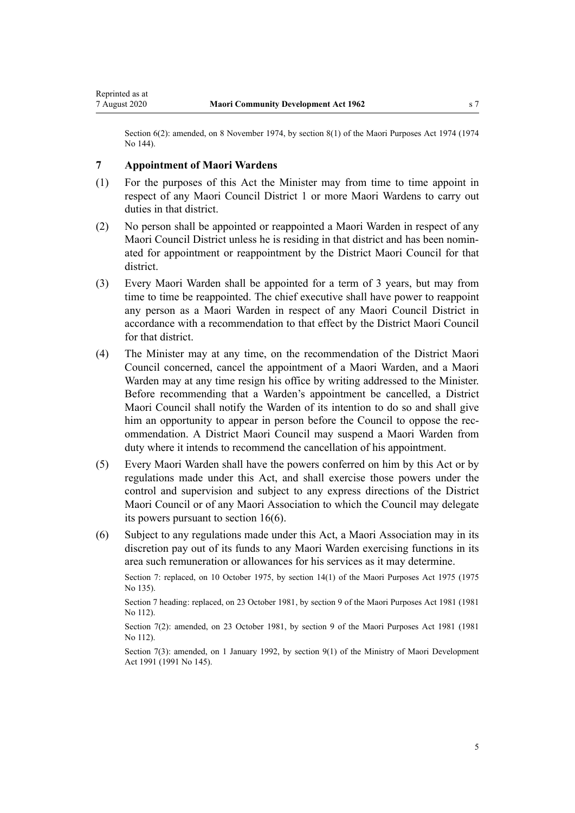<span id="page-4-0"></span>Section 6(2): amended, on 8 November 1974, by [section 8\(1\)](http://legislation.govt.nz/pdflink.aspx?id=DLM430438) of the Maori Purposes Act 1974 (1974) No 144).

### **7 Appointment of Maori Wardens**

- (1) For the purposes of this Act the Minister may from time to time appoint in respect of any Maori Council District 1 or more Maori Wardens to carry out duties in that district.
- (2) No person shall be appointed or reappointed a Maori Warden in respect of any Maori Council District unless he is residing in that district and has been nominated for appointment or reappointment by the District Maori Council for that district.
- (3) Every Maori Warden shall be appointed for a term of 3 years, but may from time to time be reappointed. The chief executive shall have power to reappoint any person as a Maori Warden in respect of any Maori Council District in accordance with a recommendation to that effect by the District Maori Council for that district.
- (4) The Minister may at any time, on the recommendation of the District Maori Council concerned, cancel the appointment of a Maori Warden, and a Maori Warden may at any time resign his office by writing addressed to the Minister. Before recommending that a Warden's appointment be cancelled, a District Maori Council shall notify the Warden of its intention to do so and shall give him an opportunity to appear in person before the Council to oppose the recommendation. A District Maori Council may suspend a Maori Warden from duty where it intends to recommend the cancellation of his appointment.
- (5) Every Maori Warden shall have the powers conferred on him by this Act or by regulations made under this Act, and shall exercise those powers under the control and supervision and subject to any express directions of the District Maori Council or of any Maori Association to which the Council may delegate its powers pursuant to [section 16\(6\).](#page-9-0)
- (6) Subject to any regulations made under this Act, a Maori Association may in its discretion pay out of its funds to any Maori Warden exercising functions in its area such remuneration or allowances for his services as it may determine.

Section 7: replaced, on 10 October 1975, by [section 14\(1\)](http://legislation.govt.nz/pdflink.aspx?id=DLM437765) of the Maori Purposes Act 1975 (1975) No 135).

Section 7 heading: replaced, on 23 October 1981, by [section 9](http://legislation.govt.nz/pdflink.aspx?id=DLM53345) of the Maori Purposes Act 1981 (1981 No 112).

Section 7(2): amended, on 23 October 1981, by [section 9](http://legislation.govt.nz/pdflink.aspx?id=DLM53345) of the Maori Purposes Act 1981 (1981 No 112).

Section 7(3): amended, on 1 January 1992, by [section 9\(1\)](http://legislation.govt.nz/pdflink.aspx?id=DLM257786) of the Ministry of Maori Development Act 1991 (1991 No 145).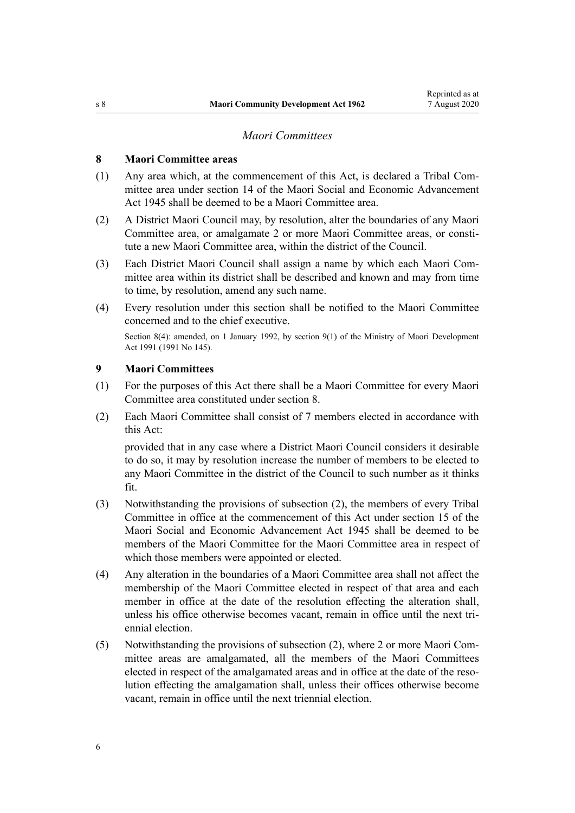### *Maori Committees*

### <span id="page-5-0"></span>**8 Maori Committee areas**

- (1) Any area which, at the commencement of this Act, is declared a Tribal Committee area under section 14 of the Maori Social and Economic Advancement Act 1945 shall be deemed to be a Maori Committee area.
- (2) A District Maori Council may, by resolution, alter the boundaries of any Maori Committee area, or amalgamate 2 or more Maori Committee areas, or constitute a new Maori Committee area, within the district of the Council.
- (3) Each District Maori Council shall assign a name by which each Maori Committee area within its district shall be described and known and may from time to time, by resolution, amend any such name.
- (4) Every resolution under this section shall be notified to the Maori Committee concerned and to the chief executive.

Section 8(4): amended, on 1 January 1992, by [section 9\(1\)](http://legislation.govt.nz/pdflink.aspx?id=DLM257786) of the Ministry of Maori Development Act 1991 (1991 No 145).

### **9 Maori Committees**

- (1) For the purposes of this Act there shall be a Maori Committee for every Maori Committee area constituted under section 8.
- (2) Each Maori Committee shall consist of 7 members elected in accordance with this Act:

provided that in any case where a District Maori Council considers it desirable to do so, it may by resolution increase the number of members to be elected to any Maori Committee in the district of the Council to such number as it thinks fit.

- (3) Notwithstanding the provisions of subsection (2), the members of every Tribal Committee in office at the commencement of this Act under section 15 of the Maori Social and Economic Advancement Act 1945 shall be deemed to be members of the Maori Committee for the Maori Committee area in respect of which those members were appointed or elected.
- (4) Any alteration in the boundaries of a Maori Committee area shall not affect the membership of the Maori Committee elected in respect of that area and each member in office at the date of the resolution effecting the alteration shall, unless his office otherwise becomes vacant, remain in office until the next triennial election.
- (5) Notwithstanding the provisions of subsection (2), where 2 or more Maori Committee areas are amalgamated, all the members of the Maori Committees elected in respect of the amalgamated areas and in office at the date of the resolution effecting the amalgamation shall, unless their offices otherwise become vacant, remain in office until the next triennial election.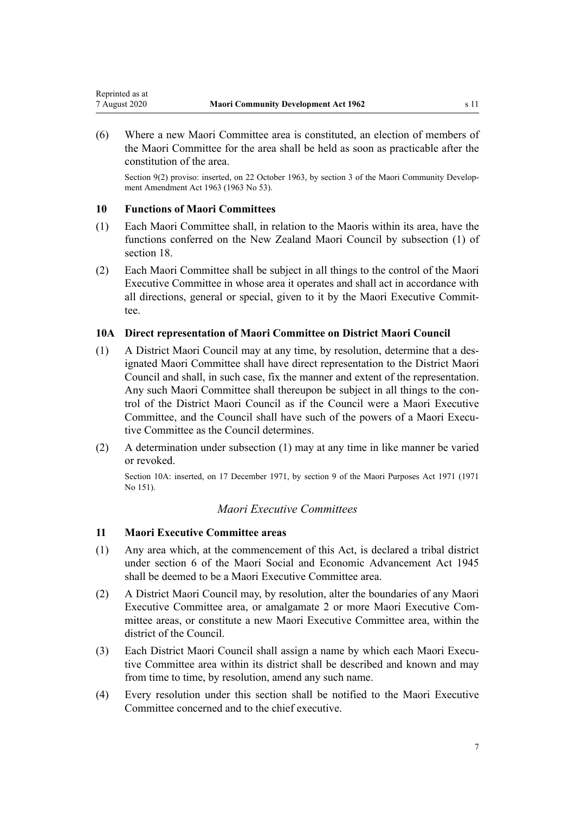<span id="page-6-0"></span>(6) Where a new Maori Committee area is constituted, an election of members of the Maori Committee for the area shall be held as soon as practicable after the constitution of the area.

Section 9(2) proviso: inserted, on 22 October 1963, by section 3 of the Maori Community Development Amendment Act 1963 (1963 No 53).

### **10 Functions of Maori Committees**

- (1) Each Maori Committee shall, in relation to the Maoris within its area, have the functions conferred on the New Zealand Maori Council by subsection (1) of [section 18](#page-10-0).
- (2) Each Maori Committee shall be subject in all things to the control of the Maori Executive Committee in whose area it operates and shall act in accordance with all directions, general or special, given to it by the Maori Executive Committee.

### **10A Direct representation of Maori Committee on District Maori Council**

- (1) A District Maori Council may at any time, by resolution, determine that a designated Maori Committee shall have direct representation to the District Maori Council and shall, in such case, fix the manner and extent of the representation. Any such Maori Committee shall thereupon be subject in all things to the control of the District Maori Council as if the Council were a Maori Executive Committee, and the Council shall have such of the powers of a Maori Executive Committee as the Council determines.
- (2) A determination under subsection (1) may at any time in like manner be varied or revoked.

Section 10A: inserted, on 17 December 1971, by [section 9](http://legislation.govt.nz/pdflink.aspx?id=DLM405538) of the Maori Purposes Act 1971 (1971 No 151).

### *Maori Executive Committees*

### **11 Maori Executive Committee areas**

- (1) Any area which, at the commencement of this Act, is declared a tribal district under section 6 of the Maori Social and Economic Advancement Act 1945 shall be deemed to be a Maori Executive Committee area.
- (2) A District Maori Council may, by resolution, alter the boundaries of any Maori Executive Committee area, or amalgamate 2 or more Maori Executive Committee areas, or constitute a new Maori Executive Committee area, within the district of the Council.
- (3) Each District Maori Council shall assign a name by which each Maori Executive Committee area within its district shall be described and known and may from time to time, by resolution, amend any such name.
- (4) Every resolution under this section shall be notified to the Maori Executive Committee concerned and to the chief executive.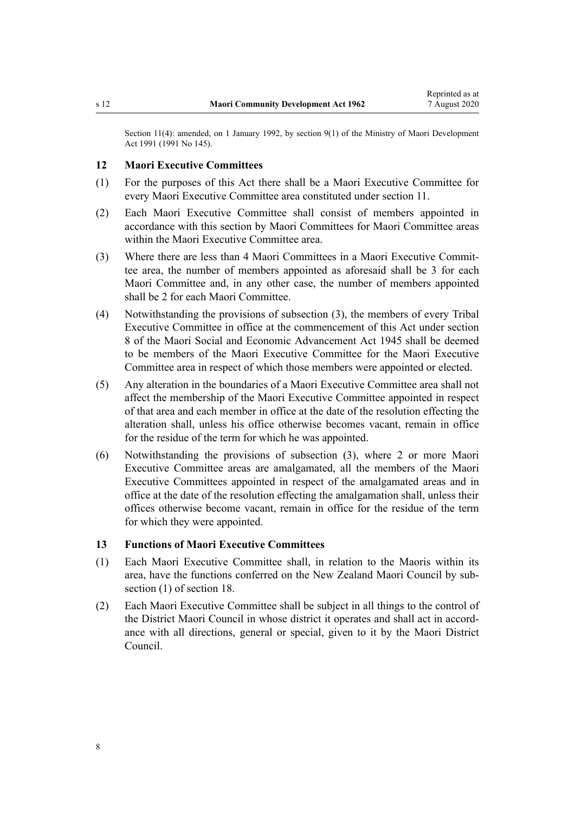<span id="page-7-0"></span>Section 11(4): amended, on 1 January 1992, by [section 9\(1\)](http://legislation.govt.nz/pdflink.aspx?id=DLM257786) of the Ministry of Maori Development Act 1991 (1991 No 145).

#### **12 Maori Executive Committees**

- (1) For the purposes of this Act there shall be a Maori Executive Committee for every Maori Executive Committee area constituted under [section 11](#page-6-0).
- (2) Each Maori Executive Committee shall consist of members appointed in accordance with this section by Maori Committees for Maori Committee areas within the Maori Executive Committee area.
- (3) Where there are less than 4 Maori Committees in a Maori Executive Committee area, the number of members appointed as aforesaid shall be 3 for each Maori Committee and, in any other case, the number of members appointed shall be 2 for each Maori Committee.
- (4) Notwithstanding the provisions of subsection (3), the members of every Tribal Executive Committee in office at the commencement of this Act under section 8 of the Maori Social and Economic Advancement Act 1945 shall be deemed to be members of the Maori Executive Committee for the Maori Executive Committee area in respect of which those members were appointed or elected.
- (5) Any alteration in the boundaries of a Maori Executive Committee area shall not affect the membership of the Maori Executive Committee appointed in respect of that area and each member in office at the date of the resolution effecting the alteration shall, unless his office otherwise becomes vacant, remain in office for the residue of the term for which he was appointed.
- (6) Notwithstanding the provisions of subsection (3), where 2 or more Maori Executive Committee areas are amalgamated, all the members of the Maori Executive Committees appointed in respect of the amalgamated areas and in office at the date of the resolution effecting the amalgamation shall, unless their offices otherwise become vacant, remain in office for the residue of the term for which they were appointed.

### **13 Functions of Maori Executive Committees**

- (1) Each Maori Executive Committee shall, in relation to the Maoris within its area, have the functions conferred on the New Zealand Maori Council by subsection (1) of [section 18](#page-10-0).
- (2) Each Maori Executive Committee shall be subject in all things to the control of the District Maori Council in whose district it operates and shall act in accordance with all directions, general or special, given to it by the Maori District Council.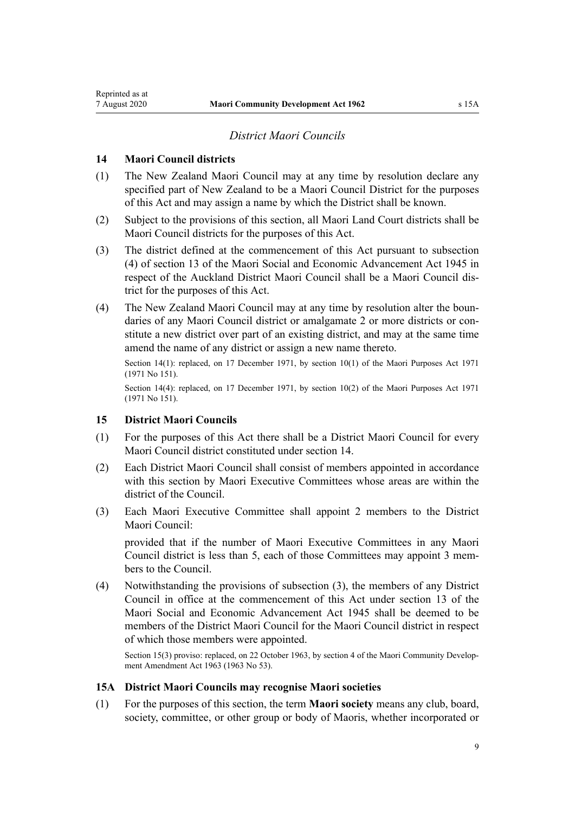### *District Maori Councils*

### <span id="page-8-0"></span>**14 Maori Council districts**

- (1) The New Zealand Maori Council may at any time by resolution declare any specified part of New Zealand to be a Maori Council District for the purposes of this Act and may assign a name by which the District shall be known.
- (2) Subject to the provisions of this section, all Maori Land Court districts shall be Maori Council districts for the purposes of this Act.
- (3) The district defined at the commencement of this Act pursuant to subsection (4) of section 13 of the Maori Social and Economic Advancement Act 1945 in respect of the Auckland District Maori Council shall be a Maori Council district for the purposes of this Act.
- (4) The New Zealand Maori Council may at any time by resolution alter the boundaries of any Maori Council district or amalgamate 2 or more districts or constitute a new district over part of an existing district, and may at the same time amend the name of any district or assign a new name thereto.

Section 14(1): replaced, on 17 December 1971, by [section 10\(1\)](http://legislation.govt.nz/pdflink.aspx?id=DLM405540) of the Maori Purposes Act 1971 (1971 No 151).

Section 14(4): replaced, on 17 December 1971, by [section 10\(2\)](http://legislation.govt.nz/pdflink.aspx?id=DLM405540) of the Maori Purposes Act 1971 (1971 No 151).

### **15 District Maori Councils**

- (1) For the purposes of this Act there shall be a District Maori Council for every Maori Council district constituted under section 14.
- (2) Each District Maori Council shall consist of members appointed in accordance with this section by Maori Executive Committees whose areas are within the district of the Council.
- (3) Each Maori Executive Committee shall appoint 2 members to the District Maori Council:

provided that if the number of Maori Executive Committees in any Maori Council district is less than 5, each of those Committees may appoint 3 members to the Council.

(4) Notwithstanding the provisions of subsection (3), the members of any District Council in office at the commencement of this Act under section 13 of the Maori Social and Economic Advancement Act 1945 shall be deemed to be members of the District Maori Council for the Maori Council district in respect of which those members were appointed.

Section 15(3) proviso: replaced, on 22 October 1963, by section 4 of the Maori Community Development Amendment Act 1963 (1963 No 53).

#### **15A District Maori Councils may recognise Maori societies**

(1) For the purposes of this section, the term **Maori society** means any club, board, society, committee, or other group or body of Maoris, whether incorporated or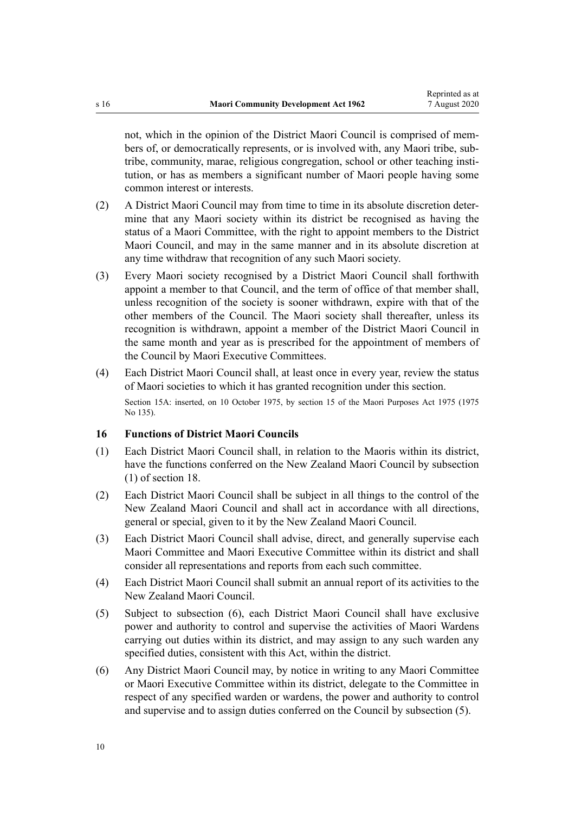<span id="page-9-0"></span>not, which in the opinion of the District Maori Council is comprised of members of, or democratically represents, or is involved with, any Maori tribe, subtribe, community, marae, religious congregation, school or other teaching institution, or has as members a significant number of Maori people having some common interest or interests.

- (2) A District Maori Council may from time to time in its absolute discretion determine that any Maori society within its district be recognised as having the status of a Maori Committee, with the right to appoint members to the District Maori Council, and may in the same manner and in its absolute discretion at any time withdraw that recognition of any such Maori society.
- (3) Every Maori society recognised by a District Maori Council shall forthwith appoint a member to that Council, and the term of office of that member shall, unless recognition of the society is sooner withdrawn, expire with that of the other members of the Council. The Maori society shall thereafter, unless its recognition is withdrawn, appoint a member of the District Maori Council in the same month and year as is prescribed for the appointment of members of the Council by Maori Executive Committees.
- (4) Each District Maori Council shall, at least once in every year, review the status of Maori societies to which it has granted recognition under this section. Section 15A: inserted, on 10 October 1975, by [section 15](http://legislation.govt.nz/pdflink.aspx?id=DLM437768) of the Maori Purposes Act 1975 (1975) No 135).

### **16 Functions of District Maori Councils**

- (1) Each District Maori Council shall, in relation to the Maoris within its district, have the functions conferred on the New Zealand Maori Council by subsection (1) of [section 18.](#page-10-0)
- (2) Each District Maori Council shall be subject in all things to the control of the New Zealand Maori Council and shall act in accordance with all directions, general or special, given to it by the New Zealand Maori Council.
- (3) Each District Maori Council shall advise, direct, and generally supervise each Maori Committee and Maori Executive Committee within its district and shall consider all representations and reports from each such committee.
- (4) Each District Maori Council shall submit an annual report of its activities to the New Zealand Maori Council.
- (5) Subject to subsection (6), each District Maori Council shall have exclusive power and authority to control and supervise the activities of Maori Wardens carrying out duties within its district, and may assign to any such warden any specified duties, consistent with this Act, within the district.
- (6) Any District Maori Council may, by notice in writing to any Maori Committee or Maori Executive Committee within its district, delegate to the Committee in respect of any specified warden or wardens, the power and authority to control and supervise and to assign duties conferred on the Council by subsection (5).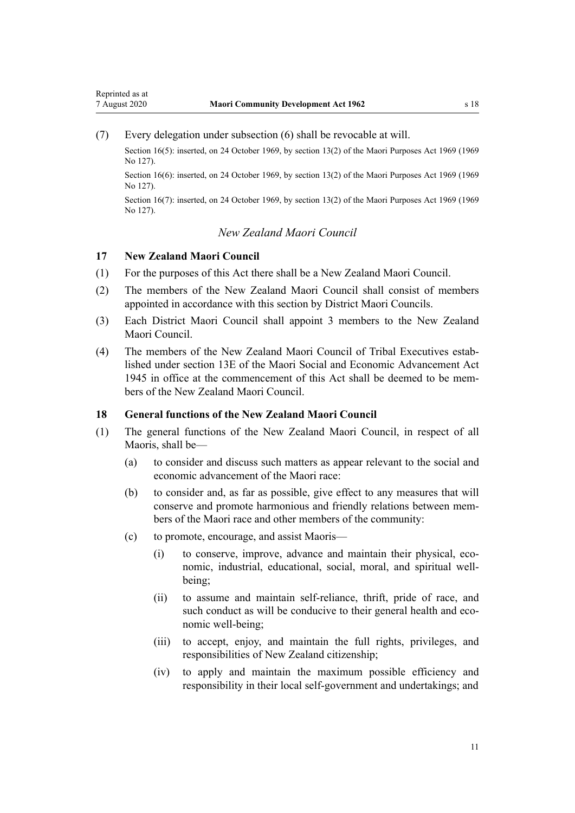<span id="page-10-0"></span>(7) Every delegation under subsection (6) shall be revocable at will.

Section 16(5): inserted, on 24 October 1969, by [section 13\(2\)](http://legislation.govt.nz/pdflink.aspx?id=DLM394017) of the Maori Purposes Act 1969 (1969) No 127).

Section 16(6): inserted, on 24 October 1969, by [section 13\(2\)](http://legislation.govt.nz/pdflink.aspx?id=DLM394017) of the Maori Purposes Act 1969 (1969) No 127).

Section 16(7): inserted, on 24 October 1969, by [section 13\(2\)](http://legislation.govt.nz/pdflink.aspx?id=DLM394017) of the Maori Purposes Act 1969 (1969) No 127).

### *New Zealand Maori Council*

### **17 New Zealand Maori Council**

- (1) For the purposes of this Act there shall be a New Zealand Maori Council.
- (2) The members of the New Zealand Maori Council shall consist of members appointed in accordance with this section by District Maori Councils.
- (3) Each District Maori Council shall appoint 3 members to the New Zealand Maori Council.
- (4) The members of the New Zealand Maori Council of Tribal Executives established under section 13E of the Maori Social and Economic Advancement Act 1945 in office at the commencement of this Act shall be deemed to be members of the New Zealand Maori Council.

#### **18 General functions of the New Zealand Maori Council**

- (1) The general functions of the New Zealand Maori Council, in respect of all Maoris, shall be—
	- (a) to consider and discuss such matters as appear relevant to the social and economic advancement of the Maori race:
	- (b) to consider and, as far as possible, give effect to any measures that will conserve and promote harmonious and friendly relations between members of the Maori race and other members of the community:
	- (c) to promote, encourage, and assist Maoris—
		- (i) to conserve, improve, advance and maintain their physical, economic, industrial, educational, social, moral, and spiritual wellbeing;
		- (ii) to assume and maintain self-reliance, thrift, pride of race, and such conduct as will be conducive to their general health and economic well-being;
		- (iii) to accept, enjoy, and maintain the full rights, privileges, and responsibilities of New Zealand citizenship;
		- (iv) to apply and maintain the maximum possible efficiency and responsibility in their local self-government and undertakings; and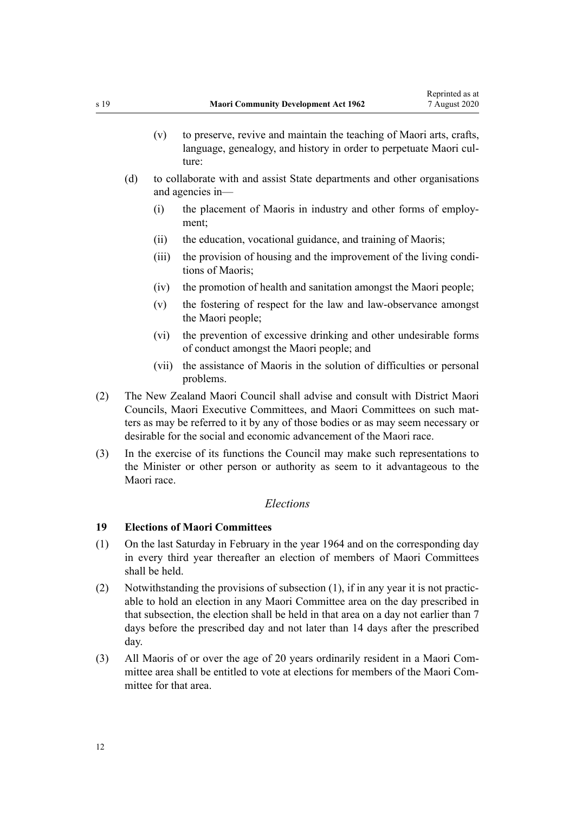- <span id="page-11-0"></span>(v) to preserve, revive and maintain the teaching of Maori arts, crafts, language, genealogy, and history in order to perpetuate Maori culture:
- (d) to collaborate with and assist State departments and other organisations and agencies in—
	- (i) the placement of Maoris in industry and other forms of employment;
	- (ii) the education, vocational guidance, and training of Maoris;
	- (iii) the provision of housing and the improvement of the living conditions of Maoris;
	- (iv) the promotion of health and sanitation amongst the Maori people;
	- (v) the fostering of respect for the law and law-observance amongst the Maori people;
	- (vi) the prevention of excessive drinking and other undesirable forms of conduct amongst the Maori people; and
	- (vii) the assistance of Maoris in the solution of difficulties or personal problems.
- (2) The New Zealand Maori Council shall advise and consult with District Maori Councils, Maori Executive Committees, and Maori Committees on such matters as may be referred to it by any of those bodies or as may seem necessary or desirable for the social and economic advancement of the Maori race.
- (3) In the exercise of its functions the Council may make such representations to the Minister or other person or authority as seem to it advantageous to the Maori race.

### *Elections*

### **19 Elections of Maori Committees**

- (1) On the last Saturday in February in the year 1964 and on the corresponding day in every third year thereafter an election of members of Maori Committees shall be held.
- (2) Notwithstanding the provisions of subsection (1), if in any year it is not practicable to hold an election in any Maori Committee area on the day prescribed in that subsection, the election shall be held in that area on a day not earlier than 7 days before the prescribed day and not later than 14 days after the prescribed day.
- (3) All Maoris of or over the age of 20 years ordinarily resident in a Maori Committee area shall be entitled to vote at elections for members of the Maori Committee for that area.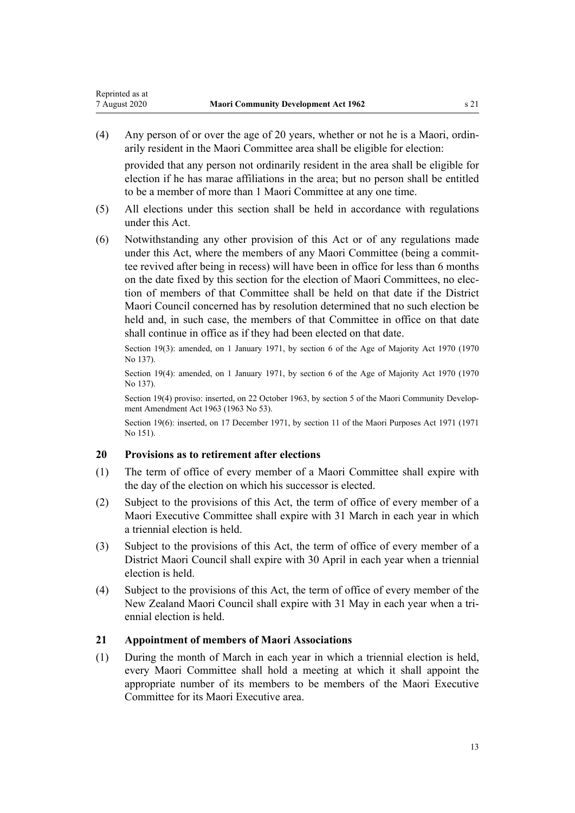<span id="page-12-0"></span>(4) Any person of or over the age of 20 years, whether or not he is a Maori, ordinarily resident in the Maori Committee area shall be eligible for election:

provided that any person not ordinarily resident in the area shall be eligible for election if he has marae affiliations in the area; but no person shall be entitled to be a member of more than 1 Maori Committee at any one time.

- (5) All elections under this section shall be held in accordance with regulations under this Act.
- (6) Notwithstanding any other provision of this Act or of any regulations made under this Act, where the members of any Maori Committee (being a committee revived after being in recess) will have been in office for less than 6 months on the date fixed by this section for the election of Maori Committees, no election of members of that Committee shall be held on that date if the District Maori Council concerned has by resolution determined that no such election be held and, in such case, the members of that Committee in office on that date shall continue in office as if they had been elected on that date.

Section 19(3): amended, on 1 January 1971, by [section 6](http://legislation.govt.nz/pdflink.aspx?id=DLM396805) of the Age of Majority Act 1970 (1970 No 137).

Section 19(4): amended, on 1 January 1971, by [section 6](http://legislation.govt.nz/pdflink.aspx?id=DLM396805) of the Age of Majority Act 1970 (1970 No 137).

Section 19(4) proviso: inserted, on 22 October 1963, by section 5 of the Maori Community Development Amendment Act 1963 (1963 No 53).

Section 19(6): inserted, on 17 December 1971, by [section 11](http://legislation.govt.nz/pdflink.aspx?id=DLM405541) of the Maori Purposes Act 1971 (1971 No 151).

### **20 Provisions as to retirement after elections**

- (1) The term of office of every member of a Maori Committee shall expire with the day of the election on which his successor is elected.
- (2) Subject to the provisions of this Act, the term of office of every member of a Maori Executive Committee shall expire with 31 March in each year in which a triennial election is held.
- (3) Subject to the provisions of this Act, the term of office of every member of a District Maori Council shall expire with 30 April in each year when a triennial election is held.
- (4) Subject to the provisions of this Act, the term of office of every member of the New Zealand Maori Council shall expire with 31 May in each year when a triennial election is held.

### **21 Appointment of members of Maori Associations**

(1) During the month of March in each year in which a triennial election is held, every Maori Committee shall hold a meeting at which it shall appoint the appropriate number of its members to be members of the Maori Executive Committee for its Maori Executive area.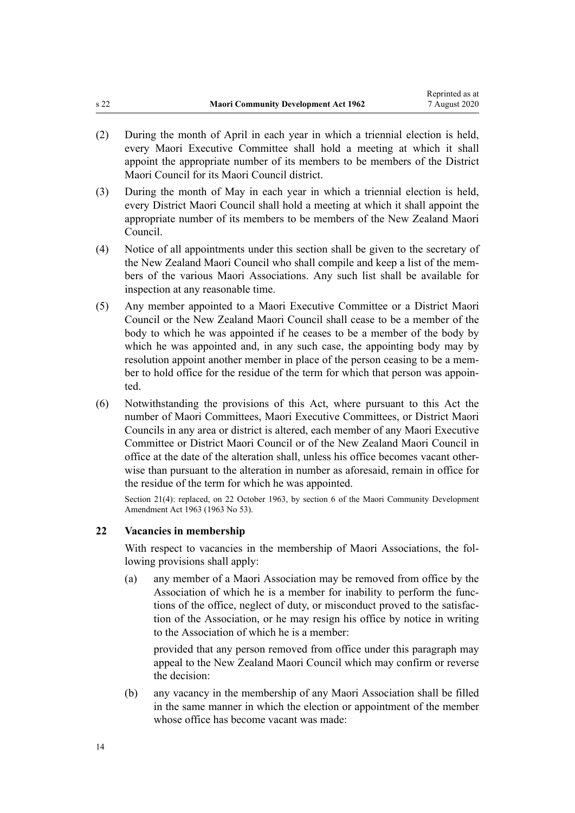- <span id="page-13-0"></span>(2) During the month of April in each year in which a triennial election is held, every Maori Executive Committee shall hold a meeting at which it shall appoint the appropriate number of its members to be members of the District Maori Council for its Maori Council district.
- (3) During the month of May in each year in which a triennial election is held, every District Maori Council shall hold a meeting at which it shall appoint the appropriate number of its members to be members of the New Zealand Maori Council.
- (4) Notice of all appointments under this section shall be given to the secretary of the New Zealand Maori Council who shall compile and keep a list of the members of the various Maori Associations. Any such list shall be available for inspection at any reasonable time.
- (5) Any member appointed to a Maori Executive Committee or a District Maori Council or the New Zealand Maori Council shall cease to be a member of the body to which he was appointed if he ceases to be a member of the body by which he was appointed and, in any such case, the appointing body may by resolution appoint another member in place of the person ceasing to be a member to hold office for the residue of the term for which that person was appointed.
- (6) Notwithstanding the provisions of this Act, where pursuant to this Act the number of Maori Committees, Maori Executive Committees, or District Maori Councils in any area or district is altered, each member of any Maori Executive Committee or District Maori Council or of the New Zealand Maori Council in office at the date of the alteration shall, unless his office becomes vacant otherwise than pursuant to the alteration in number as aforesaid, remain in office for the residue of the term for which he was appointed.

Section 21(4): replaced, on 22 October 1963, by section 6 of the Maori Community Development Amendment Act 1963 (1963 No 53).

#### **22 Vacancies in membership**

With respect to vacancies in the membership of Maori Associations, the following provisions shall apply:

(a) any member of a Maori Association may be removed from office by the Association of which he is a member for inability to perform the functions of the office, neglect of duty, or misconduct proved to the satisfaction of the Association, or he may resign his office by notice in writing to the Association of which he is a member:

provided that any person removed from office under this paragraph may appeal to the New Zealand Maori Council which may confirm or reverse the decision:

(b) any vacancy in the membership of any Maori Association shall be filled in the same manner in which the election or appointment of the member whose office has become vacant was made: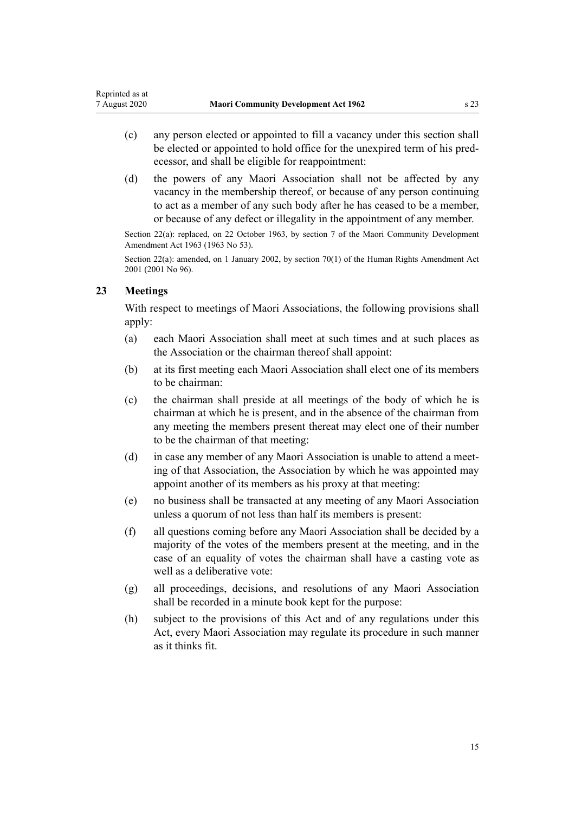- <span id="page-14-0"></span>(c) any person elected or appointed to fill a vacancy under this section shall be elected or appointed to hold office for the unexpired term of his predecessor, and shall be eligible for reappointment:
- (d) the powers of any Maori Association shall not be affected by any vacancy in the membership thereof, or because of any person continuing to act as a member of any such body after he has ceased to be a member, or because of any defect or illegality in the appointment of any member.

Section 22(a): replaced, on 22 October 1963, by section 7 of the Maori Community Development Amendment Act 1963 (1963 No 53).

Section 22(a): amended, on 1 January 2002, by [section 70\(1\)](http://legislation.govt.nz/pdflink.aspx?id=DLM122579) of the Human Rights Amendment Act 2001 (2001 No 96).

### **23 Meetings**

With respect to meetings of Maori Associations, the following provisions shall apply:

- (a) each Maori Association shall meet at such times and at such places as the Association or the chairman thereof shall appoint:
- (b) at its first meeting each Maori Association shall elect one of its members to be chairman:
- (c) the chairman shall preside at all meetings of the body of which he is chairman at which he is present, and in the absence of the chairman from any meeting the members present thereat may elect one of their number to be the chairman of that meeting:
- (d) in case any member of any Maori Association is unable to attend a meeting of that Association, the Association by which he was appointed may appoint another of its members as his proxy at that meeting:
- (e) no business shall be transacted at any meeting of any Maori Association unless a quorum of not less than half its members is present:
- (f) all questions coming before any Maori Association shall be decided by a majority of the votes of the members present at the meeting, and in the case of an equality of votes the chairman shall have a casting vote as well as a deliberative vote:
- (g) all proceedings, decisions, and resolutions of any Maori Association shall be recorded in a minute book kept for the purpose:
- (h) subject to the provisions of this Act and of any regulations under this Act, every Maori Association may regulate its procedure in such manner as it thinks fit.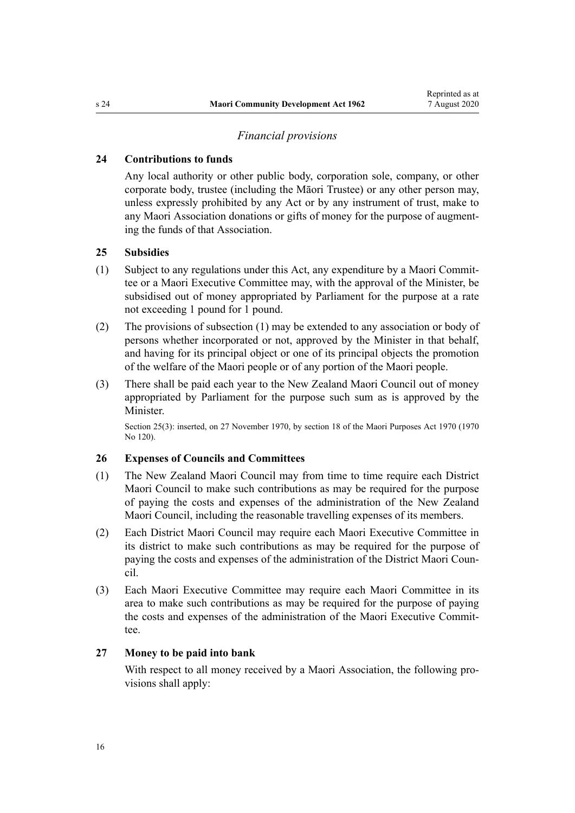#### *Financial provisions*

### <span id="page-15-0"></span>**24 Contributions to funds**

Any local authority or other public body, corporation sole, company, or other corporate body, trustee (including the Māori Trustee) or any other person may, unless expressly prohibited by any Act or by any instrument of trust, make to any Maori Association donations or gifts of money for the purpose of augmenting the funds of that Association.

#### **25 Subsidies**

- (1) Subject to any regulations under this Act, any expenditure by a Maori Committee or a Maori Executive Committee may, with the approval of the Minister, be subsidised out of money appropriated by Parliament for the purpose at a rate not exceeding 1 pound for 1 pound.
- (2) The provisions of subsection (1) may be extended to any association or body of persons whether incorporated or not, approved by the Minister in that behalf, and having for its principal object or one of its principal objects the promotion of the welfare of the Maori people or of any portion of the Maori people.
- (3) There shall be paid each year to the New Zealand Maori Council out of money appropriated by Parliament for the purpose such sum as is approved by the Minister.

Section 25(3): inserted, on 27 November 1970, by [section 18](http://legislation.govt.nz/pdflink.aspx?id=DLM396110) of the Maori Purposes Act 1970 (1970) No 120).

#### **26 Expenses of Councils and Committees**

- (1) The New Zealand Maori Council may from time to time require each District Maori Council to make such contributions as may be required for the purpose of paying the costs and expenses of the administration of the New Zealand Maori Council, including the reasonable travelling expenses of its members.
- (2) Each District Maori Council may require each Maori Executive Committee in its district to make such contributions as may be required for the purpose of paying the costs and expenses of the administration of the District Maori Council.
- (3) Each Maori Executive Committee may require each Maori Committee in its area to make such contributions as may be required for the purpose of paying the costs and expenses of the administration of the Maori Executive Committee.

#### **27 Money to be paid into bank**

With respect to all money received by a Maori Association, the following provisions shall apply: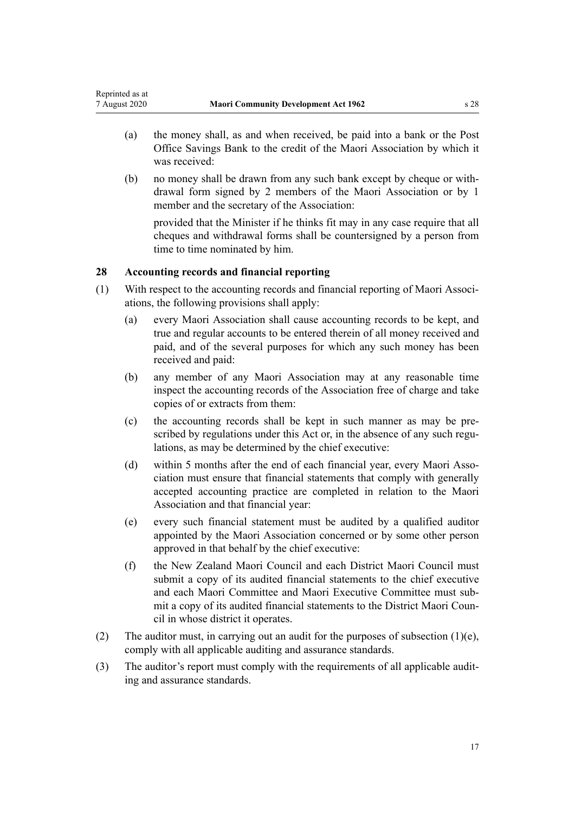- <span id="page-16-0"></span>(a) the money shall, as and when received, be paid into a bank or the Post Office Savings Bank to the credit of the Maori Association by which it was received:
- (b) no money shall be drawn from any such bank except by cheque or withdrawal form signed by 2 members of the Maori Association or by 1 member and the secretary of the Association:

provided that the Minister if he thinks fit may in any case require that all cheques and withdrawal forms shall be countersigned by a person from time to time nominated by him.

### **28 Accounting records and financial reporting**

- (1) With respect to the accounting records and financial reporting of Maori Associations, the following provisions shall apply:
	- (a) every Maori Association shall cause accounting records to be kept, and true and regular accounts to be entered therein of all money received and paid, and of the several purposes for which any such money has been received and paid:
	- (b) any member of any Maori Association may at any reasonable time inspect the accounting records of the Association free of charge and take copies of or extracts from them:
	- (c) the accounting records shall be kept in such manner as may be prescribed by regulations under this Act or, in the absence of any such regulations, as may be determined by the chief executive:
	- (d) within 5 months after the end of each financial year, every Maori Association must ensure that financial statements that comply with generally accepted accounting practice are completed in relation to the Maori Association and that financial year:
	- (e) every such financial statement must be audited by a qualified auditor appointed by the Maori Association concerned or by some other person approved in that behalf by the chief executive:
	- (f) the New Zealand Maori Council and each District Maori Council must submit a copy of its audited financial statements to the chief executive and each Maori Committee and Maori Executive Committee must submit a copy of its audited financial statements to the District Maori Council in whose district it operates.
- (2) The auditor must, in carrying out an audit for the purposes of subsection  $(1)(e)$ , comply with all applicable auditing and assurance standards.
- (3) The auditor's report must comply with the requirements of all applicable auditing and assurance standards.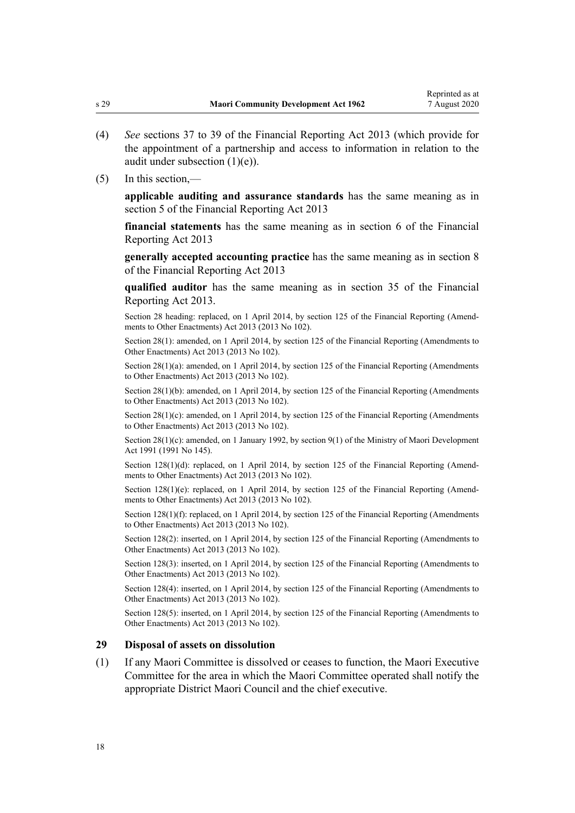- <span id="page-17-0"></span>(4) *See* [sections 37 to 39](http://legislation.govt.nz/pdflink.aspx?id=DLM4632947) of the Financial Reporting Act 2013 (which provide for the appointment of a partnership and access to information in relation to the audit under subsection (1)(e)).
- (5) In this section,—

**applicable auditing and assurance standards** has the same meaning as in [section 5](http://legislation.govt.nz/pdflink.aspx?id=DLM4632837) of the Financial Reporting Act 2013

**financial statements** has the same meaning as in [section 6](http://legislation.govt.nz/pdflink.aspx?id=DLM4632890) of the Financial Reporting Act 2013

**generally accepted accounting practice** has the same meaning as in [section 8](http://legislation.govt.nz/pdflink.aspx?id=DLM4632894) of the Financial Reporting Act 2013

**qualified auditor** has the same meaning as in [section 35](http://legislation.govt.nz/pdflink.aspx?id=DLM4632944) of the Financial Reporting Act 2013.

Section 28 heading: replaced, on 1 April 2014, by [section 125](http://legislation.govt.nz/pdflink.aspx?id=DLM5740664) of the Financial Reporting (Amendments to Other Enactments) Act 2013 (2013 No 102).

Section 28(1): amended, on 1 April 2014, by [section 125](http://legislation.govt.nz/pdflink.aspx?id=DLM5740664) of the Financial Reporting (Amendments to Other Enactments) Act 2013 (2013 No 102).

Section 28(1)(a): amended, on 1 April 2014, by [section 125](http://legislation.govt.nz/pdflink.aspx?id=DLM5740664) of the Financial Reporting (Amendments to Other Enactments) Act 2013 (2013 No 102).

Section 28(1)(b): amended, on 1 April 2014, by [section 125](http://legislation.govt.nz/pdflink.aspx?id=DLM5740664) of the Financial Reporting (Amendments to Other Enactments) Act 2013 (2013 No 102).

Section 28(1)(c): amended, on 1 April 2014, by [section 125](http://legislation.govt.nz/pdflink.aspx?id=DLM5740664) of the Financial Reporting (Amendments to Other Enactments) Act 2013 (2013 No 102).

Section 28(1)(c): amended, on 1 January 1992, by [section 9\(1\)](http://legislation.govt.nz/pdflink.aspx?id=DLM257786) of the Ministry of Maori Development Act 1991 (1991 No 145).

Section 128(1)(d): replaced, on 1 April 2014, by [section 125](http://legislation.govt.nz/pdflink.aspx?id=DLM5740664) of the Financial Reporting (Amendments to Other Enactments) Act 2013 (2013 No 102).

Section 128(1)(e): replaced, on 1 April 2014, by [section 125](http://legislation.govt.nz/pdflink.aspx?id=DLM5740664) of the Financial Reporting (Amendments to Other Enactments) Act 2013 (2013 No 102).

Section 128(1)(f): replaced, on 1 April 2014, by [section 125](http://legislation.govt.nz/pdflink.aspx?id=DLM5740664) of the Financial Reporting (Amendments to Other Enactments) Act 2013 (2013 No 102).

Section 128(2): inserted, on 1 April 2014, by [section 125](http://legislation.govt.nz/pdflink.aspx?id=DLM5740664) of the Financial Reporting (Amendments to Other Enactments) Act 2013 (2013 No 102).

Section 128(3): inserted, on 1 April 2014, by [section 125](http://legislation.govt.nz/pdflink.aspx?id=DLM5740664) of the Financial Reporting (Amendments to Other Enactments) Act 2013 (2013 No 102).

Section 128(4): inserted, on 1 April 2014, by [section 125](http://legislation.govt.nz/pdflink.aspx?id=DLM5740664) of the Financial Reporting (Amendments to Other Enactments) Act 2013 (2013 No 102).

Section 128(5): inserted, on 1 April 2014, by [section 125](http://legislation.govt.nz/pdflink.aspx?id=DLM5740664) of the Financial Reporting (Amendments to Other Enactments) Act 2013 (2013 No 102).

#### **29 Disposal of assets on dissolution**

(1) If any Maori Committee is dissolved or ceases to function, the Maori Executive Committee for the area in which the Maori Committee operated shall notify the appropriate District Maori Council and the chief executive.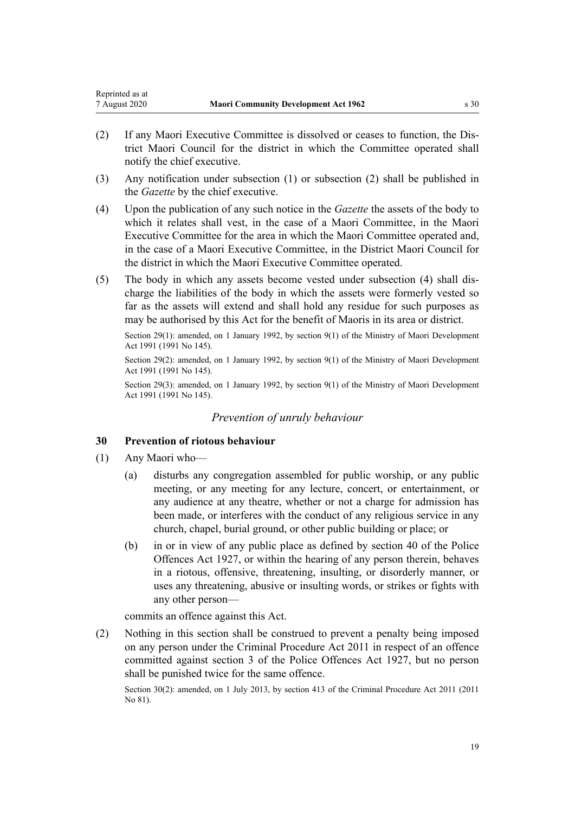- <span id="page-18-0"></span>(2) If any Maori Executive Committee is dissolved or ceases to function, the District Maori Council for the district in which the Committee operated shall notify the chief executive.
- (3) Any notification under subsection (1) or subsection (2) shall be published in the *Gazette* by the chief executive.
- (4) Upon the publication of any such notice in the *Gazette* the assets of the body to which it relates shall vest, in the case of a Maori Committee, in the Maori Executive Committee for the area in which the Maori Committee operated and, in the case of a Maori Executive Committee, in the District Maori Council for the district in which the Maori Executive Committee operated.
- (5) The body in which any assets become vested under subsection (4) shall discharge the liabilities of the body in which the assets were formerly vested so far as the assets will extend and shall hold any residue for such purposes as may be authorised by this Act for the benefit of Maoris in its area or district.

Section 29(1): amended, on 1 January 1992, by [section 9\(1\)](http://legislation.govt.nz/pdflink.aspx?id=DLM257786) of the Ministry of Maori Development Act 1991 (1991 No 145).

Section 29(2): amended, on 1 January 1992, by [section 9\(1\)](http://legislation.govt.nz/pdflink.aspx?id=DLM257786) of the Ministry of Maori Development Act 1991 (1991 No 145).

Section 29(3): amended, on 1 January 1992, by [section 9\(1\)](http://legislation.govt.nz/pdflink.aspx?id=DLM257786) of the Ministry of Maori Development Act 1991 (1991 No 145).

### *Prevention of unruly behaviour*

### **30 Prevention of riotous behaviour**

- (1) Any Maori who—
	- (a) disturbs any congregation assembled for public worship, or any public meeting, or any meeting for any lecture, concert, or entertainment, or any audience at any theatre, whether or not a charge for admission has been made, or interferes with the conduct of any religious service in any church, chapel, burial ground, or other public building or place; or
	- (b) in or in view of any public place as defined by section 40 of the Police Offences Act 1927, or within the hearing of any person therein, behaves in a riotous, offensive, threatening, insulting, or disorderly manner, or uses any threatening, abusive or insulting words, or strikes or fights with any other person—

commits an offence against this Act.

(2) Nothing in this section shall be construed to prevent a penalty being imposed on any person under the [Criminal Procedure Act 2011](http://legislation.govt.nz/pdflink.aspx?id=DLM3359902) in respect of an offence committed against section 3 of the Police Offences Act 1927, but no person shall be punished twice for the same offence.

Section 30(2): amended, on 1 July 2013, by [section 413](http://legislation.govt.nz/pdflink.aspx?id=DLM3360714) of the Criminal Procedure Act 2011 (2011 No 81).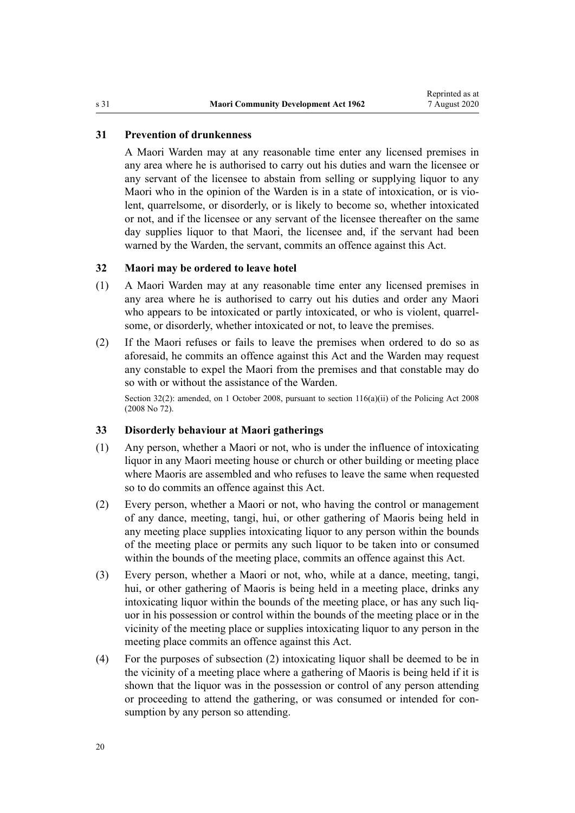### <span id="page-19-0"></span>**31 Prevention of drunkenness**

A Maori Warden may at any reasonable time enter any licensed premises in any area where he is authorised to carry out his duties and warn the licensee or any servant of the licensee to abstain from selling or supplying liquor to any Maori who in the opinion of the Warden is in a state of intoxication, or is violent, quarrelsome, or disorderly, or is likely to become so, whether intoxicated or not, and if the licensee or any servant of the licensee thereafter on the same day supplies liquor to that Maori, the licensee and, if the servant had been warned by the Warden, the servant, commits an offence against this Act.

#### **32 Maori may be ordered to leave hotel**

- (1) A Maori Warden may at any reasonable time enter any licensed premises in any area where he is authorised to carry out his duties and order any Maori who appears to be intoxicated or partly intoxicated, or who is violent, quarrelsome, or disorderly, whether intoxicated or not, to leave the premises.
- (2) If the Maori refuses or fails to leave the premises when ordered to do so as aforesaid, he commits an offence against this Act and the Warden may request any constable to expel the Maori from the premises and that constable may do so with or without the assistance of the Warden.

Section 32(2): amended, on 1 October 2008, pursuant to [section 116\(a\)\(ii\)](http://legislation.govt.nz/pdflink.aspx?id=DLM1102349) of the Policing Act 2008 (2008 No 72).

### **33 Disorderly behaviour at Maori gatherings**

- (1) Any person, whether a Maori or not, who is under the influence of intoxicating liquor in any Maori meeting house or church or other building or meeting place where Maoris are assembled and who refuses to leave the same when requested so to do commits an offence against this Act.
- (2) Every person, whether a Maori or not, who having the control or management of any dance, meeting, tangi, hui, or other gathering of Maoris being held in any meeting place supplies intoxicating liquor to any person within the bounds of the meeting place or permits any such liquor to be taken into or consumed within the bounds of the meeting place, commits an offence against this Act.
- (3) Every person, whether a Maori or not, who, while at a dance, meeting, tangi, hui, or other gathering of Maoris is being held in a meeting place, drinks any intoxicating liquor within the bounds of the meeting place, or has any such liquor in his possession or control within the bounds of the meeting place or in the vicinity of the meeting place or supplies intoxicating liquor to any person in the meeting place commits an offence against this Act.
- (4) For the purposes of subsection (2) intoxicating liquor shall be deemed to be in the vicinity of a meeting place where a gathering of Maoris is being held if it is shown that the liquor was in the possession or control of any person attending or proceeding to attend the gathering, or was consumed or intended for consumption by any person so attending.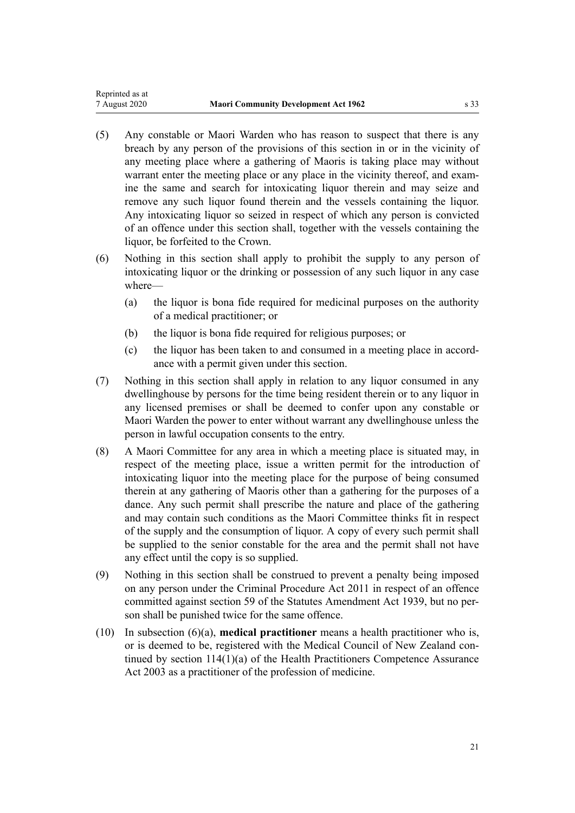- (5) Any constable or Maori Warden who has reason to suspect that there is any breach by any person of the provisions of this section in or in the vicinity of any meeting place where a gathering of Maoris is taking place may without warrant enter the meeting place or any place in the vicinity thereof, and examine the same and search for intoxicating liquor therein and may seize and remove any such liquor found therein and the vessels containing the liquor. Any intoxicating liquor so seized in respect of which any person is convicted of an offence under this section shall, together with the vessels containing the liquor, be forfeited to the Crown.
- (6) Nothing in this section shall apply to prohibit the supply to any person of intoxicating liquor or the drinking or possession of any such liquor in any case where—
	- (a) the liquor is bona fide required for medicinal purposes on the authority of a medical practitioner; or
	- (b) the liquor is bona fide required for religious purposes; or
	- (c) the liquor has been taken to and consumed in a meeting place in accordance with a permit given under this section.
- (7) Nothing in this section shall apply in relation to any liquor consumed in any dwellinghouse by persons for the time being resident therein or to any liquor in any licensed premises or shall be deemed to confer upon any constable or Maori Warden the power to enter without warrant any dwellinghouse unless the person in lawful occupation consents to the entry.
- (8) A Maori Committee for any area in which a meeting place is situated may, in respect of the meeting place, issue a written permit for the introduction of intoxicating liquor into the meeting place for the purpose of being consumed therein at any gathering of Maoris other than a gathering for the purposes of a dance. Any such permit shall prescribe the nature and place of the gathering and may contain such conditions as the Maori Committee thinks fit in respect of the supply and the consumption of liquor. A copy of every such permit shall be supplied to the senior constable for the area and the permit shall not have any effect until the copy is so supplied.
- (9) Nothing in this section shall be construed to prevent a penalty being imposed on any person under the [Criminal Procedure Act 2011](http://legislation.govt.nz/pdflink.aspx?id=DLM3359902) in respect of an offence committed against [section 59](http://legislation.govt.nz/pdflink.aspx?id=DLM228689) of the Statutes Amendment Act 1939, but no person shall be punished twice for the same offence.
- (10) In subsection (6)(a), **medical practitioner** means a health practitioner who is, or is deemed to be, registered with the Medical Council of New Zealand continued by [section 114\(1\)\(a\)](http://legislation.govt.nz/pdflink.aspx?id=DLM204329) of the Health Practitioners Competence Assurance Act 2003 as a practitioner of the profession of medicine.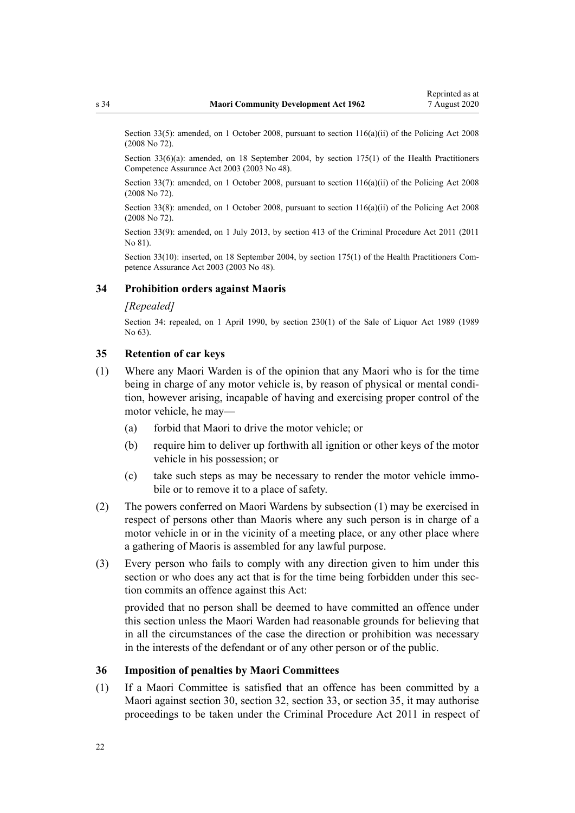<span id="page-21-0"></span>Section 33(5): amended, on 1 October 2008, pursuant to [section 116\(a\)\(ii\)](http://legislation.govt.nz/pdflink.aspx?id=DLM1102349) of the Policing Act 2008 (2008 No 72).

Section 33(6)(a): amended, on 18 September 2004, by [section 175\(1\)](http://legislation.govt.nz/pdflink.aspx?id=DLM205009) of the Health Practitioners Competence Assurance Act 2003 (2003 No 48).

Section 33(7): amended, on 1 October 2008, pursuant to [section 116\(a\)\(ii\)](http://legislation.govt.nz/pdflink.aspx?id=DLM1102349) of the Policing Act 2008 (2008 No 72).

Section 33(8): amended, on 1 October 2008, pursuant to [section 116\(a\)\(ii\)](http://legislation.govt.nz/pdflink.aspx?id=DLM1102349) of the Policing Act 2008 (2008 No 72).

Section 33(9): amended, on 1 July 2013, by [section 413](http://legislation.govt.nz/pdflink.aspx?id=DLM3360714) of the Criminal Procedure Act 2011 (2011 No 81).

Section 33(10): inserted, on 18 September 2004, by [section 175\(1\)](http://legislation.govt.nz/pdflink.aspx?id=DLM205009) of the Health Practitioners Competence Assurance Act 2003 (2003 No 48).

#### **34 Prohibition orders against Maoris**

#### *[Repealed]*

Section 34: repealed, on 1 April 1990, by [section 230\(1\)](http://legislation.govt.nz/pdflink.aspx?id=DLM167530) of the Sale of Liquor Act 1989 (1989 No 63).

### **35 Retention of car keys**

- (1) Where any Maori Warden is of the opinion that any Maori who is for the time being in charge of any motor vehicle is, by reason of physical or mental condition, however arising, incapable of having and exercising proper control of the motor vehicle, he may—
	- (a) forbid that Maori to drive the motor vehicle; or
	- (b) require him to deliver up forthwith all ignition or other keys of the motor vehicle in his possession; or
	- (c) take such steps as may be necessary to render the motor vehicle immobile or to remove it to a place of safety.
- (2) The powers conferred on Maori Wardens by subsection (1) may be exercised in respect of persons other than Maoris where any such person is in charge of a motor vehicle in or in the vicinity of a meeting place, or any other place where a gathering of Maoris is assembled for any lawful purpose.
- (3) Every person who fails to comply with any direction given to him under this section or who does any act that is for the time being forbidden under this section commits an offence against this Act:

provided that no person shall be deemed to have committed an offence under this section unless the Maori Warden had reasonable grounds for believing that in all the circumstances of the case the direction or prohibition was necessary in the interests of the defendant or of any other person or of the public.

### **36 Imposition of penalties by Maori Committees**

(1) If a Maori Committee is satisfied that an offence has been committed by a Maori against [section 30](#page-18-0), [section 32](#page-19-0), [section 33,](#page-19-0) or section 35, it may authorise proceedings to be taken under the [Criminal Procedure Act 2011](http://legislation.govt.nz/pdflink.aspx?id=DLM3359902) in respect of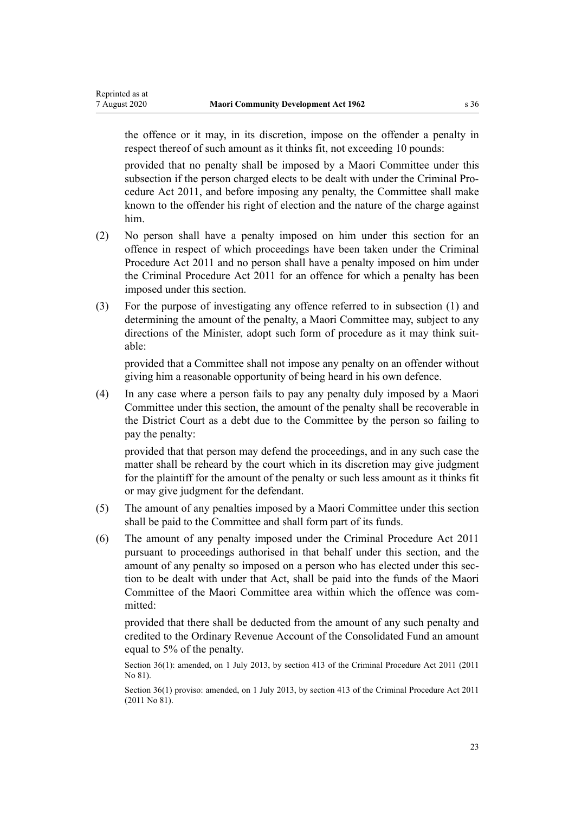the offence or it may, in its discretion, impose on the offender a penalty in respect thereof of such amount as it thinks fit, not exceeding 10 pounds:

provided that no penalty shall be imposed by a Maori Committee under this subsection if the person charged elects to be dealt with under the [Criminal Pro](http://legislation.govt.nz/pdflink.aspx?id=DLM3359902)[cedure Act 2011](http://legislation.govt.nz/pdflink.aspx?id=DLM3359902), and before imposing any penalty, the Committee shall make known to the offender his right of election and the nature of the charge against him.

- (2) No person shall have a penalty imposed on him under this section for an offence in respect of which proceedings have been taken under the [Criminal](http://legislation.govt.nz/pdflink.aspx?id=DLM3359902) [Procedure Act 2011](http://legislation.govt.nz/pdflink.aspx?id=DLM3359902) and no person shall have a penalty imposed on him under the Criminal Procedure Act 2011 for an offence for which a penalty has been imposed under this section.
- (3) For the purpose of investigating any offence referred to in subsection (1) and determining the amount of the penalty, a Maori Committee may, subject to any directions of the Minister, adopt such form of procedure as it may think suitable:

provided that a Committee shall not impose any penalty on an offender without giving him a reasonable opportunity of being heard in his own defence.

(4) In any case where a person fails to pay any penalty duly imposed by a Maori Committee under this section, the amount of the penalty shall be recoverable in the District Court as a debt due to the Committee by the person so failing to pay the penalty:

provided that that person may defend the proceedings, and in any such case the matter shall be reheard by the court which in its discretion may give judgment for the plaintiff for the amount of the penalty or such less amount as it thinks fit or may give judgment for the defendant.

- (5) The amount of any penalties imposed by a Maori Committee under this section shall be paid to the Committee and shall form part of its funds.
- (6) The amount of any penalty imposed under the [Criminal Procedure Act 2011](http://legislation.govt.nz/pdflink.aspx?id=DLM3359902) pursuant to proceedings authorised in that behalf under this section, and the amount of any penalty so imposed on a person who has elected under this section to be dealt with under that Act, shall be paid into the funds of the Maori Committee of the Maori Committee area within which the offence was committed:

provided that there shall be deducted from the amount of any such penalty and credited to the Ordinary Revenue Account of the Consolidated Fund an amount equal to 5% of the penalty.

Section 36(1): amended, on 1 July 2013, by [section 413](http://legislation.govt.nz/pdflink.aspx?id=DLM3360714) of the Criminal Procedure Act 2011 (2011) No 81).

Section 36(1) proviso: amended, on 1 July 2013, by [section 413](http://legislation.govt.nz/pdflink.aspx?id=DLM3360714) of the Criminal Procedure Act 2011 (2011 No 81).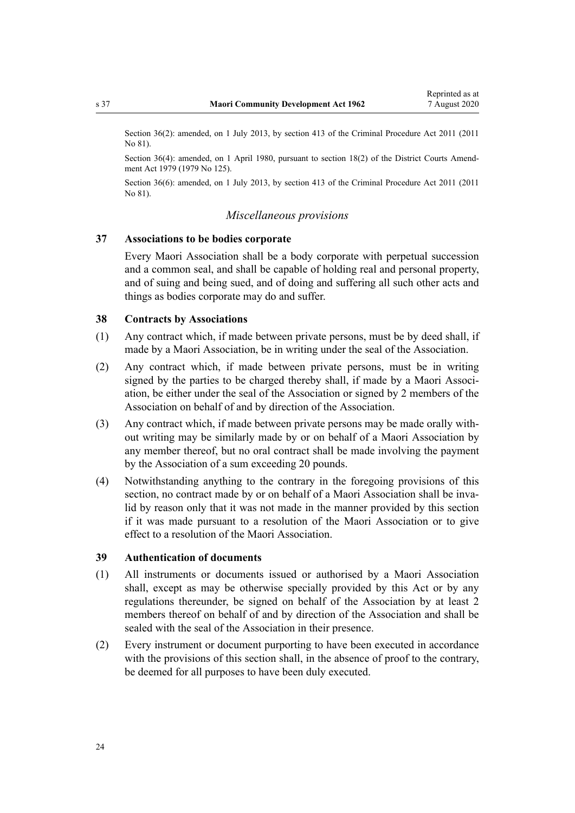<span id="page-23-0"></span>Section 36(2): amended, on 1 July 2013, by [section 413](http://legislation.govt.nz/pdflink.aspx?id=DLM3360714) of the Criminal Procedure Act 2011 (2011) No 81).

Section 36(4): amended, on 1 April 1980, pursuant to [section 18\(2\)](http://legislation.govt.nz/pdflink.aspx?id=DLM35085) of the District Courts Amendment Act 1979 (1979 No 125).

Section 36(6): amended, on 1 July 2013, by [section 413](http://legislation.govt.nz/pdflink.aspx?id=DLM3360714) of the Criminal Procedure Act 2011 (2011 No 81).

### *Miscellaneous provisions*

### **37 Associations to be bodies corporate**

Every Maori Association shall be a body corporate with perpetual succession and a common seal, and shall be capable of holding real and personal property, and of suing and being sued, and of doing and suffering all such other acts and things as bodies corporate may do and suffer.

#### **38 Contracts by Associations**

- (1) Any contract which, if made between private persons, must be by deed shall, if made by a Maori Association, be in writing under the seal of the Association.
- (2) Any contract which, if made between private persons, must be in writing signed by the parties to be charged thereby shall, if made by a Maori Association, be either under the seal of the Association or signed by 2 members of the Association on behalf of and by direction of the Association.
- (3) Any contract which, if made between private persons may be made orally without writing may be similarly made by or on behalf of a Maori Association by any member thereof, but no oral contract shall be made involving the payment by the Association of a sum exceeding 20 pounds.
- (4) Notwithstanding anything to the contrary in the foregoing provisions of this section, no contract made by or on behalf of a Maori Association shall be invalid by reason only that it was not made in the manner provided by this section if it was made pursuant to a resolution of the Maori Association or to give effect to a resolution of the Maori Association.

### **39 Authentication of documents**

- (1) All instruments or documents issued or authorised by a Maori Association shall, except as may be otherwise specially provided by this Act or by any regulations thereunder, be signed on behalf of the Association by at least 2 members thereof on behalf of and by direction of the Association and shall be sealed with the seal of the Association in their presence.
- (2) Every instrument or document purporting to have been executed in accordance with the provisions of this section shall, in the absence of proof to the contrary, be deemed for all purposes to have been duly executed.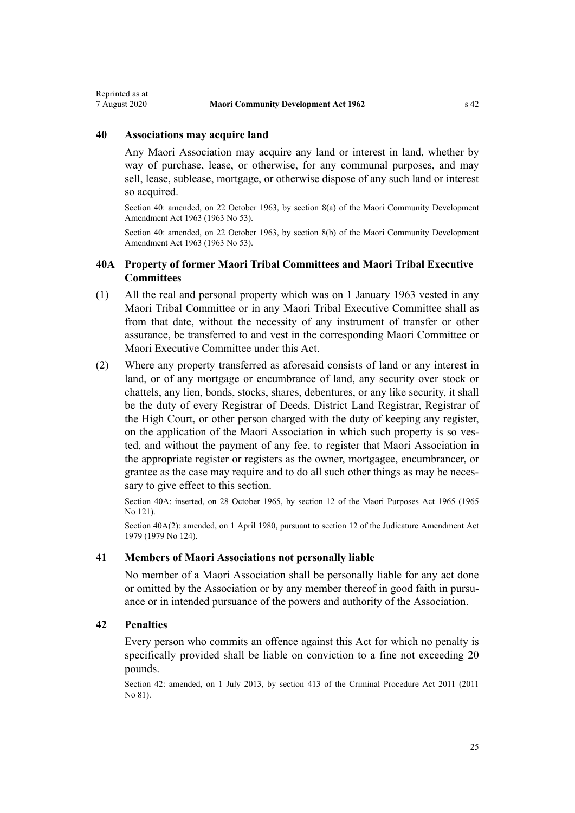#### <span id="page-24-0"></span>**40 Associations may acquire land**

Any Maori Association may acquire any land or interest in land, whether by way of purchase, lease, or otherwise, for any communal purposes, and may sell, lease, sublease, mortgage, or otherwise dispose of any such land or interest so acquired.

Section 40: amended, on 22 October 1963, by section 8(a) of the Maori Community Development Amendment Act 1963 (1963 No 53).

Section 40: amended, on 22 October 1963, by section 8(b) of the Maori Community Development Amendment Act 1963 (1963 No 53).

### **40A Property of former Maori Tribal Committees and Maori Tribal Executive Committees**

- (1) All the real and personal property which was on 1 January 1963 vested in any Maori Tribal Committee or in any Maori Tribal Executive Committee shall as from that date, without the necessity of any instrument of transfer or other assurance, be transferred to and vest in the corresponding Maori Committee or Maori Executive Committee under this Act.
- (2) Where any property transferred as aforesaid consists of land or any interest in land, or of any mortgage or encumbrance of land, any security over stock or chattels, any lien, bonds, stocks, shares, debentures, or any like security, it shall be the duty of every Registrar of Deeds, District Land Registrar, Registrar of the High Court, or other person charged with the duty of keeping any register, on the application of the Maori Association in which such property is so vested, and without the payment of any fee, to register that Maori Association in the appropriate register or registers as the owner, mortgagee, encumbrancer, or grantee as the case may require and to do all such other things as may be necessary to give effect to this section.

Section 40A: inserted, on 28 October 1965, by [section 12](http://legislation.govt.nz/pdflink.aspx?id=DLM374009) of the Maori Purposes Act 1965 (1965 No 121).

Section 40A(2): amended, on 1 April 1980, pursuant to [section 12](http://legislation.govt.nz/pdflink.aspx?id=DLM35049) of the Judicature Amendment Act 1979 (1979 No 124).

#### **41 Members of Maori Associations not personally liable**

No member of a Maori Association shall be personally liable for any act done or omitted by the Association or by any member thereof in good faith in pursuance or in intended pursuance of the powers and authority of the Association.

### **42 Penalties**

Every person who commits an offence against this Act for which no penalty is specifically provided shall be liable on conviction to a fine not exceeding 20 pounds.

Section 42: amended, on 1 July 2013, by [section 413](http://legislation.govt.nz/pdflink.aspx?id=DLM3360714) of the Criminal Procedure Act 2011 (2011 No 81).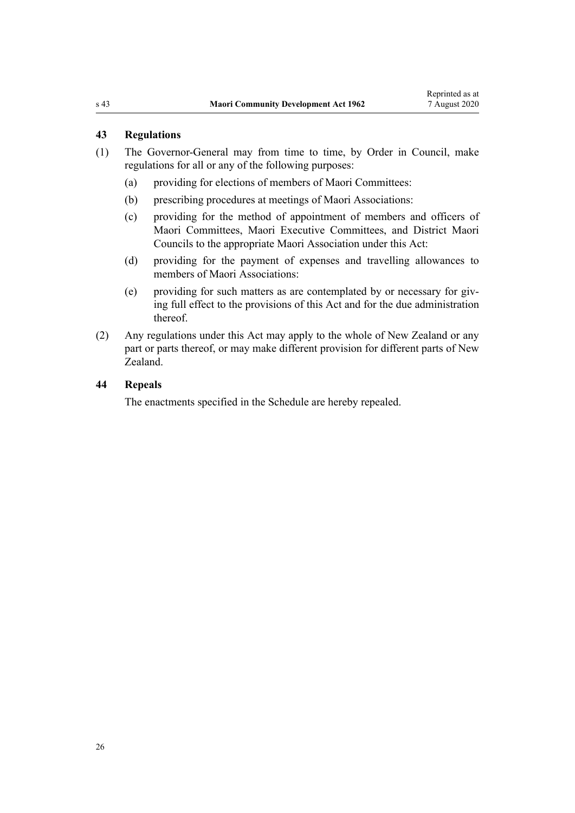### <span id="page-25-0"></span>**43 Regulations**

- (1) The Governor-General may from time to time, by Order in Council, make regulations for all or any of the following purposes:
	- (a) providing for elections of members of Maori Committees:
	- (b) prescribing procedures at meetings of Maori Associations:
	- (c) providing for the method of appointment of members and officers of Maori Committees, Maori Executive Committees, and District Maori Councils to the appropriate Maori Association under this Act:
	- (d) providing for the payment of expenses and travelling allowances to members of Maori Associations:
	- (e) providing for such matters as are contemplated by or necessary for giving full effect to the provisions of this Act and for the due administration thereof.
- (2) Any regulations under this Act may apply to the whole of New Zealand or any part or parts thereof, or may make different provision for different parts of New Zealand.

### **44 Repeals**

The enactments specified in the [Schedule](#page-26-0) are hereby repealed.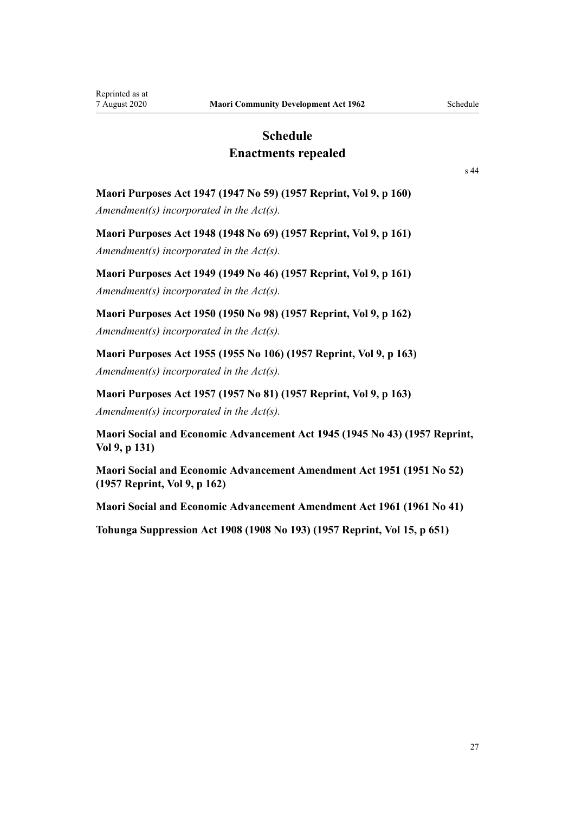## **Schedule Enactments repealed**

[s 44](#page-25-0)

# <span id="page-26-0"></span>**Maori Purposes Act 1947 (1947 No 59) (1957 Reprint, Vol 9, p 160)** *Amendment(s) incorporated in the [Act\(s\).](http://legislation.govt.nz/pdflink.aspx?id=DLM245836)*

**Maori Purposes Act 1948 (1948 No 69) (1957 Reprint, Vol 9, p 161)** *Amendment(s) incorporated in the [Act\(s\).](http://legislation.govt.nz/pdflink.aspx?id=DLM254439)*

**Maori Purposes Act 1949 (1949 No 46) (1957 Reprint, Vol 9, p 161)** *Amendment(s) incorporated in the [Act\(s\).](http://legislation.govt.nz/pdflink.aspx?id=DLM259765)*

**Maori Purposes Act 1950 (1950 No 98) (1957 Reprint, Vol 9, p 162)** *Amendment(s) incorporated in the Act(s).*

**Maori Purposes Act 1955 (1955 No 106) (1957 Reprint, Vol 9, p 163)** *Amendment(s) incorporated in the [Act\(s\).](http://legislation.govt.nz/pdflink.aspx?id=DLM293858)*

**Maori Purposes Act 1957 (1957 No 81) (1957 Reprint, Vol 9, p 163)** *Amendment(s) incorporated in the [Act\(s\).](http://legislation.govt.nz/pdflink.aspx?id=DLM310736)*

**Maori Social and Economic Advancement Act 1945 (1945 No 43) (1957 Reprint, Vol 9, p 131)**

**Maori Social and Economic Advancement Amendment Act 1951 (1951 No 52) (1957 Reprint, Vol 9, p 162)**

**Maori Social and Economic Advancement Amendment Act 1961 (1961 No 41)**

**Tohunga Suppression Act 1908 (1908 No 193) (1957 Reprint, Vol 15, p 651)**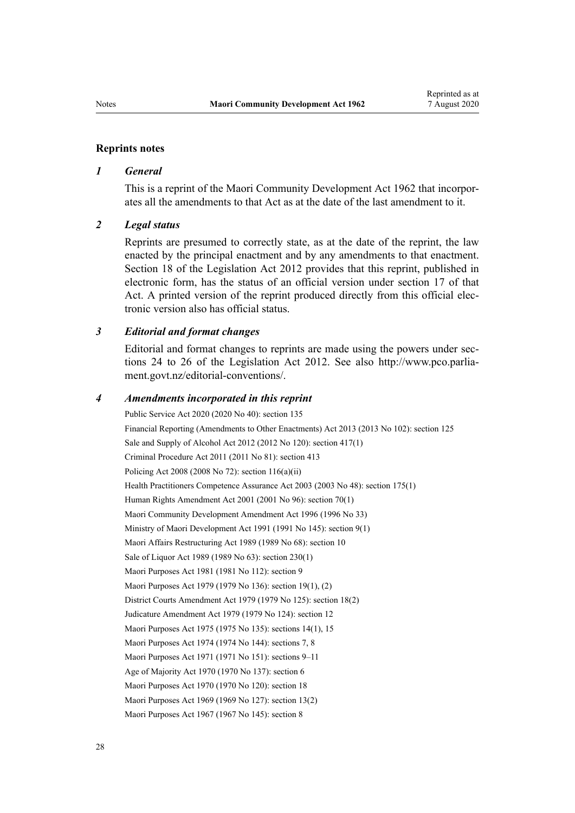#### **Reprints notes**

#### *1 General*

This is a reprint of the Maori Community Development Act 1962 that incorporates all the amendments to that Act as at the date of the last amendment to it.

#### *2 Legal status*

Reprints are presumed to correctly state, as at the date of the reprint, the law enacted by the principal enactment and by any amendments to that enactment. [Section 18](http://legislation.govt.nz/pdflink.aspx?id=DLM2998516) of the Legislation Act 2012 provides that this reprint, published in electronic form, has the status of an official version under [section 17](http://legislation.govt.nz/pdflink.aspx?id=DLM2998515) of that Act. A printed version of the reprint produced directly from this official electronic version also has official status.

#### *3 Editorial and format changes*

Editorial and format changes to reprints are made using the powers under [sec](http://legislation.govt.nz/pdflink.aspx?id=DLM2998532)[tions 24 to 26](http://legislation.govt.nz/pdflink.aspx?id=DLM2998532) of the Legislation Act 2012. See also [http://www.pco.parlia](http://www.pco.parliament.govt.nz/editorial-conventions/)[ment.govt.nz/editorial-conventions/](http://www.pco.parliament.govt.nz/editorial-conventions/).

#### *4 Amendments incorporated in this reprint*

Public Service Act 2020 (2020 No 40): [section 135](http://legislation.govt.nz/pdflink.aspx?id=LMS176959) Financial Reporting (Amendments to Other Enactments) Act 2013 (2013 No 102): [section 125](http://legislation.govt.nz/pdflink.aspx?id=DLM5740664) Sale and Supply of Alcohol Act 2012 (2012 No 120): [section 417\(1\)](http://legislation.govt.nz/pdflink.aspx?id=DLM3339984) Criminal Procedure Act 2011 (2011 No 81): [section 413](http://legislation.govt.nz/pdflink.aspx?id=DLM3360714) Policing Act 2008 (2008 No 72): [section 116\(a\)\(ii\)](http://legislation.govt.nz/pdflink.aspx?id=DLM1102349) Health Practitioners Competence Assurance Act 2003 (2003 No 48): [section 175\(1\)](http://legislation.govt.nz/pdflink.aspx?id=DLM205009) Human Rights Amendment Act 2001 (2001 No 96): [section 70\(1\)](http://legislation.govt.nz/pdflink.aspx?id=DLM122579) Maori Community Development Amendment Act 1996 (1996 No 33) Ministry of Maori Development Act 1991 (1991 No 145): [section 9\(1\)](http://legislation.govt.nz/pdflink.aspx?id=DLM257786) Maori Affairs Restructuring Act 1989 (1989 No 68): [section 10](http://legislation.govt.nz/pdflink.aspx?id=DLM170435) Sale of Liquor Act 1989 (1989 No 63): [section 230\(1\)](http://legislation.govt.nz/pdflink.aspx?id=DLM167530) Maori Purposes Act 1981 (1981 No 112): [section 9](http://legislation.govt.nz/pdflink.aspx?id=DLM53345) Maori Purposes Act 1979 (1979 No 136): [section 19\(1\), \(2\)](http://legislation.govt.nz/pdflink.aspx?id=DLM35626) District Courts Amendment Act 1979 (1979 No 125): [section 18\(2\)](http://legislation.govt.nz/pdflink.aspx?id=DLM35085) Judicature Amendment Act 1979 (1979 No 124): [section 12](http://legislation.govt.nz/pdflink.aspx?id=DLM35049) Maori Purposes Act 1975 (1975 No 135): [sections 14\(1\)](http://legislation.govt.nz/pdflink.aspx?id=DLM437765), [15](http://legislation.govt.nz/pdflink.aspx?id=DLM437768) Maori Purposes Act 1974 (1974 No 144): [sections 7](http://legislation.govt.nz/pdflink.aspx?id=DLM430435), [8](http://legislation.govt.nz/pdflink.aspx?id=DLM430438) Maori Purposes Act 1971 (1971 No 151): [sections 9–11](http://legislation.govt.nz/pdflink.aspx?id=DLM405538) Age of Majority Act 1970 (1970 No 137): [section 6](http://legislation.govt.nz/pdflink.aspx?id=DLM396805) Maori Purposes Act 1970 (1970 No 120): [section 18](http://legislation.govt.nz/pdflink.aspx?id=DLM396110) Maori Purposes Act 1969 (1969 No 127): [section 13\(2\)](http://legislation.govt.nz/pdflink.aspx?id=DLM394017) Maori Purposes Act 1967 (1967 No 145): [section 8](http://legislation.govt.nz/pdflink.aspx?id=DLM385505)